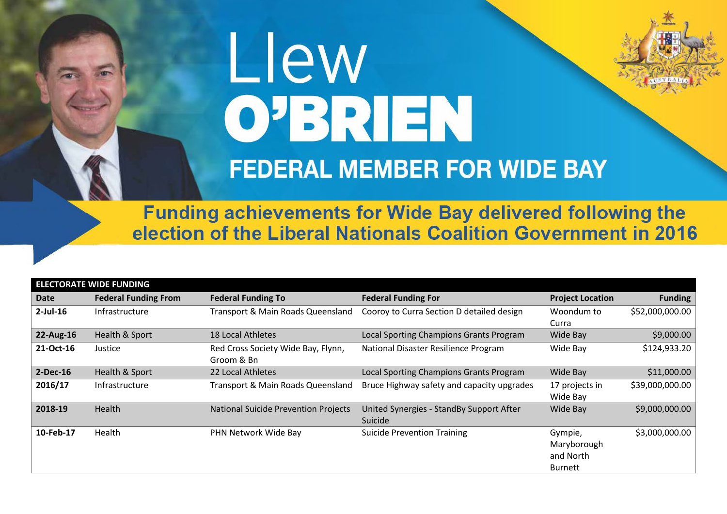## Llew **O'BRIEN FEDERAL MEMBER FOR WIDE BAY**

**Funding achievements for Wide Bay delivered following the** election of the Liberal Nationals Coalition Government in 2016

| <b>ELECTORATE WIDE FUNDING</b> |                             |                                             |                                            |                         |                 |
|--------------------------------|-----------------------------|---------------------------------------------|--------------------------------------------|-------------------------|-----------------|
| <b>Date</b>                    | <b>Federal Funding From</b> | <b>Federal Funding To</b>                   | <b>Federal Funding For</b>                 | <b>Project Location</b> | <b>Funding</b>  |
| $2$ -Jul-16                    | Infrastructure              | Transport & Main Roads Queensland           | Cooroy to Curra Section D detailed design  | Woondum to              | \$52,000,000.00 |
|                                |                             |                                             |                                            | Curra                   |                 |
| 22-Aug-16                      | Health & Sport              | 18 Local Athletes                           | Local Sporting Champions Grants Program    | Wide Bay                | \$9,000.00      |
| 21-Oct-16                      | Justice                     | Red Cross Society Wide Bay, Flynn,          | National Disaster Resilience Program       | Wide Bay                | \$124,933.20    |
|                                |                             | Groom & Bn                                  |                                            |                         |                 |
| 2-Dec-16                       | Health & Sport              | 22 Local Athletes                           | Local Sporting Champions Grants Program    | Wide Bay                | \$11,000.00     |
| 2016/17                        | Infrastructure              | Transport & Main Roads Queensland           | Bruce Highway safety and capacity upgrades | 17 projects in          | \$39,000,000.00 |
|                                |                             |                                             |                                            | Wide Bay                |                 |
| 2018-19                        | Health                      | <b>National Suicide Prevention Projects</b> | United Synergies - StandBy Support After   | Wide Bay                | \$9,000,000.00  |
|                                |                             |                                             | Suicide                                    |                         |                 |
| 10-Feb-17                      | Health                      | PHN Network Wide Bay                        | <b>Suicide Prevention Training</b>         | Gympie,                 | \$3,000,000.00  |
|                                |                             |                                             |                                            | Maryborough             |                 |
|                                |                             |                                             |                                            | and North               |                 |
|                                |                             |                                             |                                            | <b>Burnett</b>          |                 |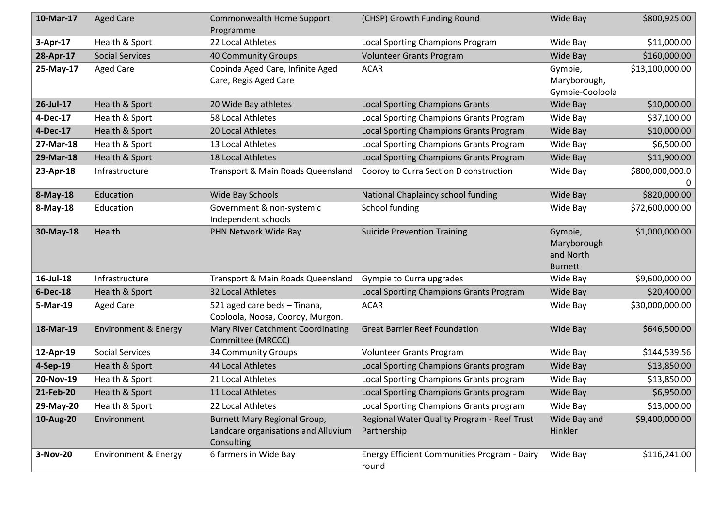| 10-Mar-17 | <b>Aged Care</b>                | Commonwealth Home Support<br>Programme                                                   | (CHSP) Growth Funding Round                                | Wide Bay                                              | \$800,925.00    |
|-----------|---------------------------------|------------------------------------------------------------------------------------------|------------------------------------------------------------|-------------------------------------------------------|-----------------|
| 3-Apr-17  | Health & Sport                  | 22 Local Athletes                                                                        | Local Sporting Champions Program                           | Wide Bay                                              | \$11,000.00     |
| 28-Apr-17 | <b>Social Services</b>          | 40 Community Groups                                                                      | Volunteer Grants Program                                   | Wide Bay                                              | \$160,000.00    |
| 25-May-17 | <b>Aged Care</b>                | Cooinda Aged Care, Infinite Aged<br>Care, Regis Aged Care                                | <b>ACAR</b>                                                | Gympie,<br>Maryborough,<br>Gympie-Cooloola            | \$13,100,000.00 |
| 26-Jul-17 | Health & Sport                  | 20 Wide Bay athletes                                                                     | <b>Local Sporting Champions Grants</b>                     | Wide Bay                                              | \$10,000.00     |
| 4-Dec-17  | Health & Sport                  | 58 Local Athletes                                                                        | Local Sporting Champions Grants Program                    | Wide Bay                                              | \$37,100.00     |
| 4-Dec-17  | Health & Sport                  | 20 Local Athletes                                                                        | Local Sporting Champions Grants Program                    | Wide Bay                                              | \$10,000.00     |
| 27-Mar-18 | Health & Sport                  | 13 Local Athletes                                                                        | Local Sporting Champions Grants Program                    | Wide Bay                                              | \$6,500.00      |
| 29-Mar-18 | Health & Sport                  | 18 Local Athletes                                                                        | Local Sporting Champions Grants Program                    | Wide Bay                                              | \$11,900.00     |
| 23-Apr-18 | Infrastructure                  | Transport & Main Roads Queensland                                                        | Cooroy to Curra Section D construction                     | Wide Bay                                              | \$800,000,000.0 |
|           |                                 |                                                                                          |                                                            |                                                       | 0               |
| 8-May-18  | Education                       | Wide Bay Schools                                                                         | National Chaplaincy school funding                         | Wide Bay                                              | \$820,000.00    |
| 8-May-18  | Education                       | Government & non-systemic<br>Independent schools                                         | School funding                                             | Wide Bay                                              | \$72,600,000.00 |
| 30-May-18 | Health                          | PHN Network Wide Bay                                                                     | <b>Suicide Prevention Training</b>                         | Gympie,<br>Maryborough<br>and North<br><b>Burnett</b> | \$1,000,000.00  |
| 16-Jul-18 | Infrastructure                  | Transport & Main Roads Queensland                                                        | Gympie to Curra upgrades                                   | Wide Bay                                              | \$9,600,000.00  |
| 6-Dec-18  | Health & Sport                  | 32 Local Athletes                                                                        | Local Sporting Champions Grants Program                    | Wide Bay                                              | \$20,400.00     |
| 5-Mar-19  | <b>Aged Care</b>                | 521 aged care beds - Tinana,<br>Cooloola, Noosa, Cooroy, Murgon.                         | <b>ACAR</b>                                                | Wide Bay                                              | \$30,000,000.00 |
| 18-Mar-19 | <b>Environment &amp; Energy</b> | Mary River Catchment Coordinating<br>Committee (MRCCC)                                   | <b>Great Barrier Reef Foundation</b>                       | Wide Bay                                              | \$646,500.00    |
| 12-Apr-19 | <b>Social Services</b>          | 34 Community Groups                                                                      | <b>Volunteer Grants Program</b>                            | Wide Bay                                              | \$144,539.56    |
| 4-Sep-19  | Health & Sport                  | 44 Local Athletes                                                                        | Local Sporting Champions Grants program                    | Wide Bay                                              | \$13,850.00     |
| 20-Nov-19 | Health & Sport                  | 21 Local Athletes                                                                        | Local Sporting Champions Grants program                    | Wide Bay                                              | \$13,850.00     |
| 21-Feb-20 | Health & Sport                  | 11 Local Athletes                                                                        | Local Sporting Champions Grants program                    | Wide Bay                                              | \$6,950.00      |
| 29-May-20 | Health & Sport                  | 22 Local Athletes                                                                        | Local Sporting Champions Grants program                    | Wide Bay                                              | \$13,000.00     |
| 10-Aug-20 | Environment                     | <b>Burnett Mary Regional Group,</b><br>Landcare organisations and Alluvium<br>Consulting | Regional Water Quality Program - Reef Trust<br>Partnership | Wide Bay and<br>Hinkler                               | \$9,400,000.00  |
| 3-Nov-20  | <b>Environment &amp; Energy</b> | 6 farmers in Wide Bay                                                                    | Energy Efficient Communities Program - Dairy<br>round      | Wide Bay                                              | \$116,241.00    |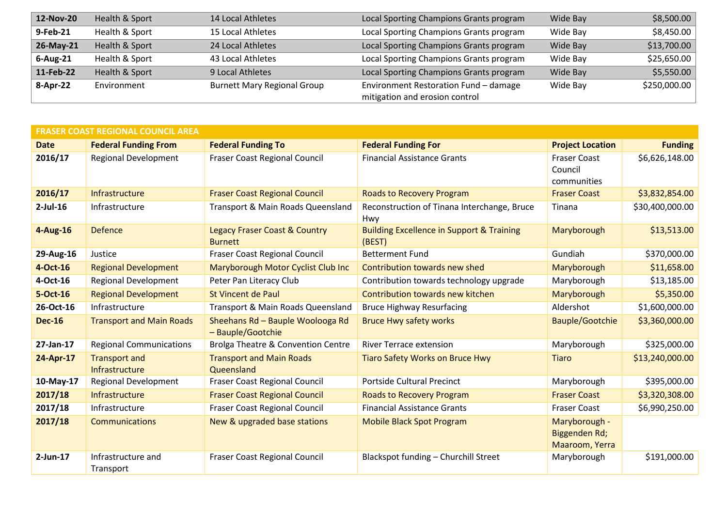| 12-Nov-20   | Health & Sport | 14 Local Athletes                  | Local Sporting Champions Grants program | Wide Bay | \$8,500.00   |
|-------------|----------------|------------------------------------|-----------------------------------------|----------|--------------|
| 9-Feb-21    | Health & Sport | 15 Local Athletes                  | Local Sporting Champions Grants program | Wide Bay | \$8,450.00   |
| 26-May-21   | Health & Sport | 24 Local Athletes                  | Local Sporting Champions Grants program | Wide Bay | \$13,700.00  |
| $6$ -Aug-21 | Health & Sport | 43 Local Athletes                  | Local Sporting Champions Grants program | Wide Bay | \$25,650.00  |
| 11-Feb-22   | Health & Sport | 9 Local Athletes                   | Local Sporting Champions Grants program | Wide Bay | \$5,550.00   |
| 8-Apr-22    | Environment    | <b>Burnett Mary Regional Group</b> | Environment Restoration Fund - damage   | Wide Bay | \$250,000.00 |
|             |                |                                    | mitigation and erosion control          |          |              |

| <b>FRASER COAST REGIONAL COUNCIL AREA</b> |                                        |                                                       |                                                                |                                                  |                 |  |  |
|-------------------------------------------|----------------------------------------|-------------------------------------------------------|----------------------------------------------------------------|--------------------------------------------------|-----------------|--|--|
| <b>Date</b>                               | <b>Federal Funding From</b>            | <b>Federal Funding To</b>                             | <b>Federal Funding For</b>                                     | <b>Project Location</b>                          | <b>Funding</b>  |  |  |
| 2016/17                                   | <b>Regional Development</b>            | <b>Fraser Coast Regional Council</b>                  | <b>Financial Assistance Grants</b>                             | <b>Fraser Coast</b><br>Council<br>communities    | \$6,626,148.00  |  |  |
| 2016/17                                   | Infrastructure                         | <b>Fraser Coast Regional Council</b>                  | <b>Roads to Recovery Program</b>                               | <b>Fraser Coast</b>                              | \$3,832,854.00  |  |  |
| $2$ -Jul-16                               | Infrastructure                         | Transport & Main Roads Queensland                     | Reconstruction of Tinana Interchange, Bruce<br>Hwy             | Tinana                                           | \$30,400,000.00 |  |  |
| $4-Aug-16$                                | <b>Defence</b>                         | Legacy Fraser Coast & Country<br><b>Burnett</b>       | <b>Building Excellence in Support &amp; Training</b><br>(BEST) | Maryborough                                      | \$13,513.00     |  |  |
| 29-Aug-16                                 | Justice                                | Fraser Coast Regional Council                         | <b>Betterment Fund</b>                                         | Gundiah                                          | \$370,000.00    |  |  |
| 4-Oct-16                                  | <b>Regional Development</b>            | Maryborough Motor Cyclist Club Inc                    | Contribution towards new shed                                  | Maryborough                                      | \$11,658.00     |  |  |
| 4-Oct-16                                  | <b>Regional Development</b>            | Peter Pan Literacy Club                               | Contribution towards technology upgrade                        | Maryborough                                      | \$13,185.00     |  |  |
| 5-Oct-16                                  | <b>Regional Development</b>            | <b>St Vincent de Paul</b>                             | Contribution towards new kitchen                               | Maryborough                                      | \$5,350.00      |  |  |
| 26-Oct-16                                 | Infrastructure                         | Transport & Main Roads Queensland                     | <b>Bruce Highway Resurfacing</b>                               | Aldershot                                        | \$1,600,000.00  |  |  |
| <b>Dec-16</b>                             | <b>Transport and Main Roads</b>        | Sheehans Rd - Bauple Woolooga Rd<br>- Bauple/Gootchie | <b>Bruce Hwy safety works</b>                                  | <b>Bauple/Gootchie</b>                           | \$3,360,000.00  |  |  |
| 27-Jan-17                                 | <b>Regional Communications</b>         | <b>Brolga Theatre &amp; Convention Centre</b>         | <b>River Terrace extension</b>                                 | Maryborough                                      | \$325,000.00    |  |  |
| 24-Apr-17                                 | <b>Transport and</b><br>Infrastructure | <b>Transport and Main Roads</b><br>Queensland         | <b>Tiaro Safety Works on Bruce Hwy</b>                         | <b>Tiaro</b>                                     | \$13,240,000.00 |  |  |
| 10-May-17                                 | <b>Regional Development</b>            | Fraser Coast Regional Council                         | <b>Portside Cultural Precinct</b>                              | Maryborough                                      | \$395,000.00    |  |  |
| 2017/18                                   | Infrastructure                         | <b>Fraser Coast Regional Council</b>                  | <b>Roads to Recovery Program</b>                               | <b>Fraser Coast</b>                              | \$3,320,308.00  |  |  |
| 2017/18                                   | Infrastructure                         | <b>Fraser Coast Regional Council</b>                  | <b>Financial Assistance Grants</b>                             | <b>Fraser Coast</b>                              | \$6,990,250.00  |  |  |
| 2017/18                                   | <b>Communications</b>                  | New & upgraded base stations                          | <b>Mobile Black Spot Program</b>                               | Maryborough -<br>Biggenden Rd;<br>Maaroom, Yerra |                 |  |  |
| $2$ -Jun-17                               | Infrastructure and<br>Transport        | <b>Fraser Coast Regional Council</b>                  | Blackspot funding - Churchill Street                           | Maryborough                                      | \$191,000.00    |  |  |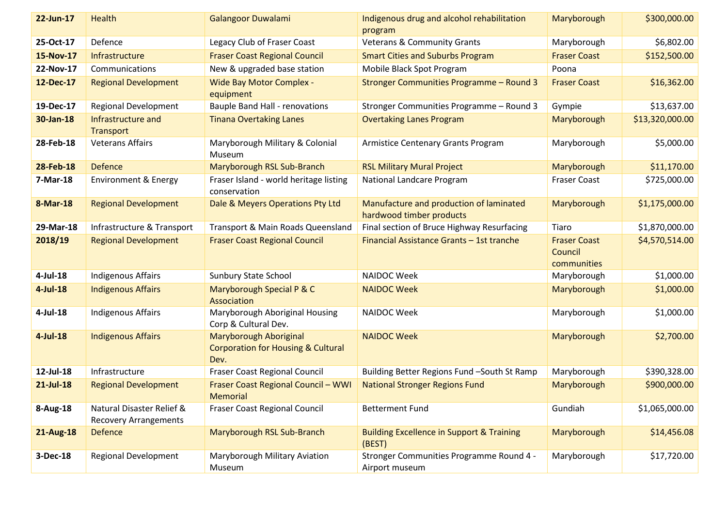| 22-Jun-17        | <b>Health</b>                                             | <b>Galangoor Duwalami</b>                                                              | Indigenous drug and alcohol rehabilitation<br>program               | Maryborough                                   | \$300,000.00    |
|------------------|-----------------------------------------------------------|----------------------------------------------------------------------------------------|---------------------------------------------------------------------|-----------------------------------------------|-----------------|
| 25-Oct-17        | Defence                                                   | Legacy Club of Fraser Coast                                                            | <b>Veterans &amp; Community Grants</b>                              | Maryborough                                   | \$6,802.00      |
| 15-Nov-17        | Infrastructure                                            | <b>Fraser Coast Regional Council</b>                                                   | <b>Smart Cities and Suburbs Program</b>                             | <b>Fraser Coast</b>                           | \$152,500.00    |
| 22-Nov-17        | Communications                                            | New & upgraded base station                                                            | Mobile Black Spot Program                                           | Poona                                         |                 |
| 12-Dec-17        | <b>Regional Development</b>                               | <b>Wide Bay Motor Complex -</b><br>equipment                                           | Stronger Communities Programme - Round 3                            | <b>Fraser Coast</b>                           | \$16,362.00     |
| 19-Dec-17        | <b>Regional Development</b>                               | <b>Bauple Band Hall - renovations</b>                                                  | Stronger Communities Programme - Round 3                            | Gympie                                        | \$13,637.00     |
| 30-Jan-18        | Infrastructure and<br>Transport                           | <b>Tinana Overtaking Lanes</b>                                                         | <b>Overtaking Lanes Program</b>                                     | Maryborough                                   | \$13,320,000.00 |
| 28-Feb-18        | <b>Veterans Affairs</b>                                   | Maryborough Military & Colonial<br>Museum                                              | Armistice Centenary Grants Program                                  | Maryborough                                   | \$5,000.00      |
| <b>28-Feb-18</b> | <b>Defence</b>                                            | Maryborough RSL Sub-Branch                                                             | <b>RSL Military Mural Project</b>                                   | Maryborough                                   | \$11,170.00     |
| 7-Mar-18         | <b>Environment &amp; Energy</b>                           | Fraser Island - world heritage listing<br>conservation                                 | National Landcare Program                                           | <b>Fraser Coast</b>                           | \$725,000.00    |
| <b>8-Mar-18</b>  | <b>Regional Development</b>                               | Dale & Meyers Operations Pty Ltd                                                       | Manufacture and production of laminated<br>hardwood timber products | Maryborough                                   | \$1,175,000.00  |
| 29-Mar-18        | Infrastructure & Transport                                | Transport & Main Roads Queensland                                                      | Final section of Bruce Highway Resurfacing                          | Tiaro                                         | \$1,870,000.00  |
| 2018/19          | <b>Regional Development</b>                               | <b>Fraser Coast Regional Council</b>                                                   | Financial Assistance Grants - 1st tranche                           | <b>Fraser Coast</b><br>Council<br>communities | \$4,570,514.00  |
| 4-Jul-18         | <b>Indigenous Affairs</b>                                 | Sunbury State School                                                                   | NAIDOC Week                                                         | Maryborough                                   | \$1,000.00      |
| $4$ -Jul-18      | <b>Indigenous Affairs</b>                                 | Maryborough Special P & C<br>Association                                               | <b>NAIDOC Week</b>                                                  | Maryborough                                   | \$1,000.00      |
| 4-Jul-18         | <b>Indigenous Affairs</b>                                 | Maryborough Aboriginal Housing<br>Corp & Cultural Dev.                                 | NAIDOC Week                                                         | Maryborough                                   | \$1,000.00      |
| $4$ -Jul-18      | <b>Indigenous Affairs</b>                                 | <b>Maryborough Aboriginal</b><br><b>Corporation for Housing &amp; Cultural</b><br>Dev. | <b>NAIDOC Week</b>                                                  | Maryborough                                   | \$2,700.00      |
| 12-Jul-18        | Infrastructure                                            | Fraser Coast Regional Council                                                          | Building Better Regions Fund -South St Ramp                         | Maryborough                                   | \$390,328.00    |
| $21$ -Jul-18     | <b>Regional Development</b>                               | <b>Fraser Coast Regional Council - WWI</b><br><b>Memorial</b>                          | <b>National Stronger Regions Fund</b>                               | Maryborough                                   | \$900,000.00    |
| 8-Aug-18         | Natural Disaster Relief &<br><b>Recovery Arrangements</b> | Fraser Coast Regional Council                                                          | <b>Betterment Fund</b>                                              | Gundiah                                       | \$1,065,000.00  |
| <b>21-Aug-18</b> | <b>Defence</b>                                            | Maryborough RSL Sub-Branch                                                             | <b>Building Excellence in Support &amp; Training</b><br>(BEST)      | Maryborough                                   | \$14,456.08     |
| 3-Dec-18         | <b>Regional Development</b>                               | Maryborough Military Aviation<br>Museum                                                | Stronger Communities Programme Round 4 -<br>Airport museum          | Maryborough                                   | \$17,720.00     |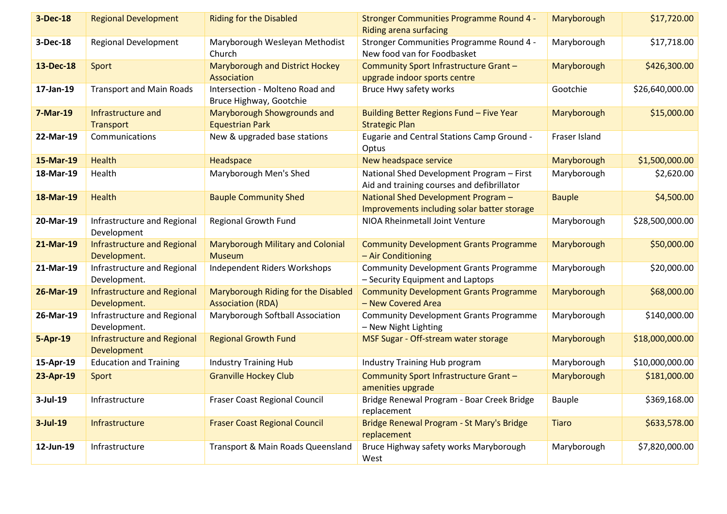| <b>3-Dec-18</b> | <b>Regional Development</b>                        | <b>Riding for the Disabled</b>                                  | <b>Stronger Communities Programme Round 4 -</b><br><b>Riding arena surfacing</b>        | Maryborough   | \$17,720.00     |
|-----------------|----------------------------------------------------|-----------------------------------------------------------------|-----------------------------------------------------------------------------------------|---------------|-----------------|
| 3-Dec-18        | <b>Regional Development</b>                        | Maryborough Wesleyan Methodist<br>Church                        | Stronger Communities Programme Round 4 -<br>New food van for Foodbasket                 | Maryborough   | \$17,718.00     |
| 13-Dec-18       | Sport                                              | <b>Maryborough and District Hockey</b><br>Association           | Community Sport Infrastructure Grant-<br>upgrade indoor sports centre                   | Maryborough   | \$426,300.00    |
| 17-Jan-19       | <b>Transport and Main Roads</b>                    | Intersection - Molteno Road and<br>Bruce Highway, Gootchie      | <b>Bruce Hwy safety works</b>                                                           | Gootchie      | \$26,640,000.00 |
| <b>7-Mar-19</b> | Infrastructure and<br>Transport                    | <b>Maryborough Showgrounds and</b><br><b>Equestrian Park</b>    | Building Better Regions Fund - Five Year<br><b>Strategic Plan</b>                       | Maryborough   | \$15,000.00     |
| 22-Mar-19       | Communications                                     | New & upgraded base stations                                    | <b>Eugarie and Central Stations Camp Ground -</b><br>Optus                              | Fraser Island |                 |
| 15-Mar-19       | Health                                             | Headspace                                                       | New headspace service                                                                   | Maryborough   | \$1,500,000.00  |
| 18-Mar-19       | Health                                             | Maryborough Men's Shed                                          | National Shed Development Program - First<br>Aid and training courses and defibrillator | Maryborough   | \$2,620.00      |
| 18-Mar-19       | Health                                             | <b>Bauple Community Shed</b>                                    | National Shed Development Program -<br>Improvements including solar batter storage      | <b>Bauple</b> | \$4,500.00      |
| 20-Mar-19       | Infrastructure and Regional<br>Development         | Regional Growth Fund                                            | NIOA Rheinmetall Joint Venture                                                          | Maryborough   | \$28,500,000.00 |
| 21-Mar-19       | <b>Infrastructure and Regional</b><br>Development. | <b>Maryborough Military and Colonial</b><br><b>Museum</b>       | <b>Community Development Grants Programme</b><br>- Air Conditioning                     | Maryborough   | \$50,000.00     |
| 21-Mar-19       | Infrastructure and Regional<br>Development.        | Independent Riders Workshops                                    | <b>Community Development Grants Programme</b><br>- Security Equipment and Laptops       | Maryborough   | \$20,000.00     |
| 26-Mar-19       | <b>Infrastructure and Regional</b><br>Development. | Maryborough Riding for the Disabled<br><b>Association (RDA)</b> | <b>Community Development Grants Programme</b><br>- New Covered Area                     | Maryborough   | \$68,000.00     |
| 26-Mar-19       | Infrastructure and Regional<br>Development.        | Maryborough Softball Association                                | <b>Community Development Grants Programme</b><br>- New Night Lighting                   | Maryborough   | \$140,000.00    |
| 5-Apr-19        | <b>Infrastructure and Regional</b><br>Development  | <b>Regional Growth Fund</b>                                     | MSF Sugar - Off-stream water storage                                                    | Maryborough   | \$18,000,000.00 |
| 15-Apr-19       | <b>Education and Training</b>                      | <b>Industry Training Hub</b>                                    | Industry Training Hub program                                                           | Maryborough   | \$10,000,000.00 |
| 23-Apr-19       | Sport                                              | <b>Granville Hockey Club</b>                                    | Community Sport Infrastructure Grant-<br>amenities upgrade                              | Maryborough   | \$181,000.00    |
| 3-Jul-19        | Infrastructure                                     | Fraser Coast Regional Council                                   | Bridge Renewal Program - Boar Creek Bridge<br>replacement                               | Bauple        | \$369,168.00    |
| $3$ -Jul-19     | Infrastructure                                     | <b>Fraser Coast Regional Council</b>                            | Bridge Renewal Program - St Mary's Bridge<br>replacement                                | <b>Tiaro</b>  | \$633,578.00    |
| 12-Jun-19       | Infrastructure                                     | Transport & Main Roads Queensland                               | Bruce Highway safety works Maryborough<br>West                                          | Maryborough   | \$7,820,000.00  |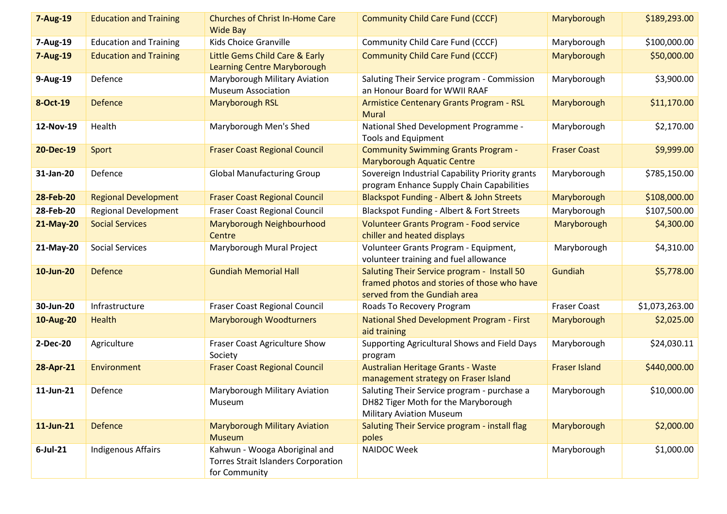| <b>7-Aug-19</b>  | <b>Education and Training</b> | <b>Churches of Christ In-Home Care</b><br><b>Wide Bay</b>                                    | <b>Community Child Care Fund (CCCF)</b>                                                                                    | Maryborough          | \$189,293.00   |
|------------------|-------------------------------|----------------------------------------------------------------------------------------------|----------------------------------------------------------------------------------------------------------------------------|----------------------|----------------|
| 7-Aug-19         | <b>Education and Training</b> | Kids Choice Granville                                                                        | Community Child Care Fund (CCCF)                                                                                           | Maryborough          | \$100,000.00   |
| <b>7-Aug-19</b>  | <b>Education and Training</b> | Little Gems Child Care & Early<br><b>Learning Centre Maryborough</b>                         | <b>Community Child Care Fund (CCCF)</b>                                                                                    | Maryborough          | \$50,000.00    |
| 9-Aug-19         | Defence                       | Maryborough Military Aviation<br><b>Museum Association</b>                                   | Saluting Their Service program - Commission<br>an Honour Board for WWII RAAF                                               | Maryborough          | \$3,900.00     |
| 8-Oct-19         | <b>Defence</b>                | Maryborough RSL                                                                              | <b>Armistice Centenary Grants Program - RSL</b><br><b>Mural</b>                                                            | Maryborough          | \$11,170.00    |
| 12-Nov-19        | Health                        | Maryborough Men's Shed                                                                       | National Shed Development Programme -<br><b>Tools and Equipment</b>                                                        | Maryborough          | \$2,170.00     |
| 20-Dec-19        | Sport                         | <b>Fraser Coast Regional Council</b>                                                         | <b>Community Swimming Grants Program -</b><br><b>Maryborough Aquatic Centre</b>                                            | <b>Fraser Coast</b>  | \$9,999.00     |
| 31-Jan-20        | Defence                       | <b>Global Manufacturing Group</b>                                                            | Sovereign Industrial Capability Priority grants<br>program Enhance Supply Chain Capabilities                               | Maryborough          | \$785,150.00   |
| <b>28-Feb-20</b> | <b>Regional Development</b>   | <b>Fraser Coast Regional Council</b>                                                         | <b>Blackspot Funding - Albert &amp; John Streets</b>                                                                       | Maryborough          | \$108,000.00   |
| 28-Feb-20        | <b>Regional Development</b>   | Fraser Coast Regional Council                                                                | Blackspot Funding - Albert & Fort Streets                                                                                  | Maryborough          | \$107,500.00   |
| 21-May-20        | <b>Social Services</b>        | Maryborough Neighbourhood<br>Centre                                                          | Volunteer Grants Program - Food service<br>chiller and heated displays                                                     | Maryborough          | \$4,300.00     |
| 21-May-20        | <b>Social Services</b>        | Maryborough Mural Project                                                                    | Volunteer Grants Program - Equipment,<br>volunteer training and fuel allowance                                             | Maryborough          | \$4,310.00     |
| 10-Jun-20        | <b>Defence</b>                | <b>Gundiah Memorial Hall</b>                                                                 | Saluting Their Service program - Install 50<br>framed photos and stories of those who have<br>served from the Gundiah area | Gundiah              | \$5,778.00     |
| 30-Jun-20        | Infrastructure                | Fraser Coast Regional Council                                                                | Roads To Recovery Program                                                                                                  | <b>Fraser Coast</b>  | \$1,073,263.00 |
| <b>10-Aug-20</b> | <b>Health</b>                 | <b>Maryborough Woodturners</b>                                                               | <b>National Shed Development Program - First</b><br>aid training                                                           | Maryborough          | \$2,025.00     |
| 2-Dec-20         | Agriculture                   | Fraser Coast Agriculture Show<br>Society                                                     | Supporting Agricultural Shows and Field Days<br>program                                                                    | Maryborough          | \$24,030.11    |
| 28-Apr-21        | Environment                   | <b>Fraser Coast Regional Council</b>                                                         | Australian Heritage Grants - Waste<br>management strategy on Fraser Island                                                 | <b>Fraser Island</b> | \$440,000.00   |
| 11-Jun-21        | Defence                       | Maryborough Military Aviation<br>Museum                                                      | Saluting Their Service program - purchase a<br>DH82 Tiger Moth for the Maryborough<br><b>Military Aviation Museum</b>      | Maryborough          | \$10,000.00    |
| 11-Jun-21        | <b>Defence</b>                | <b>Maryborough Military Aviation</b><br><b>Museum</b>                                        | Saluting Their Service program - install flag<br>poles                                                                     | Maryborough          | \$2,000.00     |
| $6$ -Jul-21      | Indigenous Affairs            | Kahwun - Wooga Aboriginal and<br><b>Torres Strait Islanders Corporation</b><br>for Community | NAIDOC Week                                                                                                                | Maryborough          | \$1,000.00     |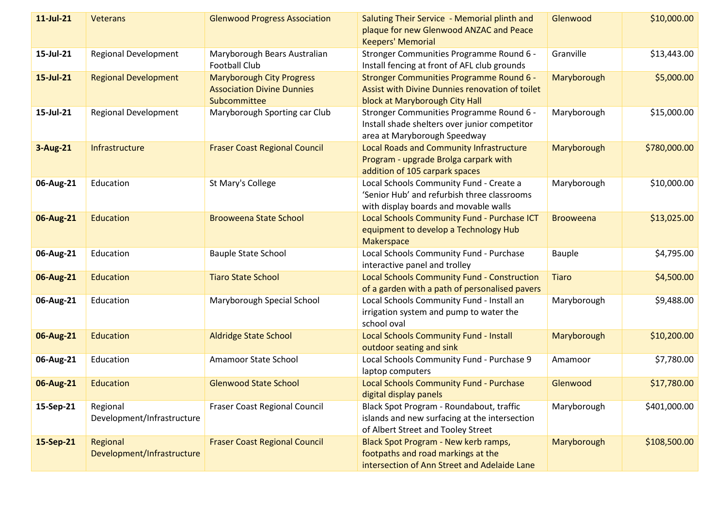| $11$ -Jul-21 | <b>Veterans</b>                        | <b>Glenwood Progress Association</b>                                                  | Saluting Their Service - Memorial plinth and<br>plaque for new Glenwood ANZAC and Peace<br><b>Keepers' Memorial</b>             | Glenwood         | \$10,000.00  |
|--------------|----------------------------------------|---------------------------------------------------------------------------------------|---------------------------------------------------------------------------------------------------------------------------------|------------------|--------------|
| 15-Jul-21    | <b>Regional Development</b>            | Maryborough Bears Australian<br><b>Football Club</b>                                  | Stronger Communities Programme Round 6 -<br>Install fencing at front of AFL club grounds                                        | Granville        | \$13,443.00  |
| 15-Jul-21    | <b>Regional Development</b>            | <b>Maryborough City Progress</b><br><b>Association Divine Dunnies</b><br>Subcommittee | Stronger Communities Programme Round 6 -<br>Assist with Divine Dunnies renovation of toilet<br>block at Maryborough City Hall   | Maryborough      | \$5,000.00   |
| 15-Jul-21    | <b>Regional Development</b>            | Maryborough Sporting car Club                                                         | Stronger Communities Programme Round 6 -<br>Install shade shelters over junior competitor<br>area at Maryborough Speedway       | Maryborough      | \$15,000.00  |
| 3-Aug-21     | Infrastructure                         | <b>Fraser Coast Regional Council</b>                                                  | Local Roads and Community Infrastructure<br>Program - upgrade Brolga carpark with<br>addition of 105 carpark spaces             | Maryborough      | \$780,000.00 |
| 06-Aug-21    | Education                              | St Mary's College                                                                     | Local Schools Community Fund - Create a<br>'Senior Hub' and refurbish three classrooms<br>with display boards and movable walls | Maryborough      | \$10,000.00  |
| 06-Aug-21    | <b>Education</b>                       | <b>Brooweena State School</b>                                                         | Local Schools Community Fund - Purchase ICT<br>equipment to develop a Technology Hub<br>Makerspace                              | <b>Brooweena</b> | \$13,025.00  |
| 06-Aug-21    | Education                              | <b>Bauple State School</b>                                                            | Local Schools Community Fund - Purchase<br>interactive panel and trolley                                                        | Bauple           | \$4,795.00   |
| 06-Aug-21    | <b>Education</b>                       | <b>Tiaro State School</b>                                                             | <b>Local Schools Community Fund - Construction</b><br>of a garden with a path of personalised pavers                            | <b>Tiaro</b>     | \$4,500.00   |
| 06-Aug-21    | Education                              | Maryborough Special School                                                            | Local Schools Community Fund - Install an<br>irrigation system and pump to water the<br>school oval                             | Maryborough      | \$9,488.00   |
| 06-Aug-21    | <b>Education</b>                       | <b>Aldridge State School</b>                                                          | <b>Local Schools Community Fund - Install</b><br>outdoor seating and sink                                                       | Maryborough      | \$10,200.00  |
| 06-Aug-21    | Education                              | Amamoor State School                                                                  | Local Schools Community Fund - Purchase 9<br>laptop computers                                                                   | Amamoor          | \$7,780.00   |
| 06-Aug-21    | <b>Education</b>                       | <b>Glenwood State School</b>                                                          | <b>Local Schools Community Fund - Purchase</b><br>digital display panels                                                        | Glenwood         | \$17,780.00  |
| 15-Sep-21    | Regional<br>Development/Infrastructure | Fraser Coast Regional Council                                                         | Black Spot Program - Roundabout, traffic<br>islands and new surfacing at the intersection<br>of Albert Street and Tooley Street | Maryborough      | \$401,000.00 |
| 15-Sep-21    | Regional<br>Development/Infrastructure | <b>Fraser Coast Regional Council</b>                                                  | Black Spot Program - New kerb ramps,<br>footpaths and road markings at the<br>intersection of Ann Street and Adelaide Lane      | Maryborough      | \$108,500.00 |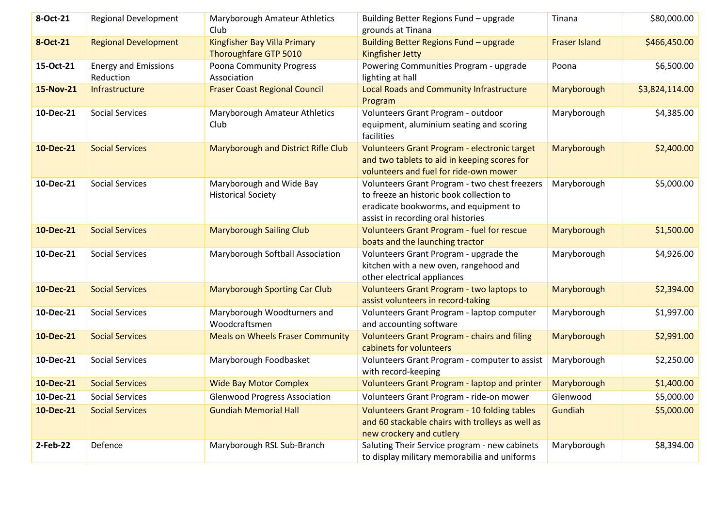| 8-Oct-21  | <b>Regional Development</b>              | Maryborough Amateur Athletics<br>Club                        | Building Better Regions Fund - upgrade<br>grounds at Tinana                                                                                                              | Tinana               | \$80,000.00    |
|-----------|------------------------------------------|--------------------------------------------------------------|--------------------------------------------------------------------------------------------------------------------------------------------------------------------------|----------------------|----------------|
| 8-Oct-21  | <b>Regional Development</b>              | <b>Kingfisher Bay Villa Primary</b><br>Thoroughfare GTP 5010 | Building Better Regions Fund - upgrade<br><b>Kingfisher Jetty</b>                                                                                                        | <b>Fraser Island</b> | \$466,450.00   |
| 15-Oct-21 | <b>Energy and Emissions</b><br>Reduction | <b>Poona Community Progress</b><br>Association               | Powering Communities Program - upgrade<br>lighting at hall                                                                                                               | Poona                | \$6,500.00     |
| 15-Nov-21 | Infrastructure                           | <b>Fraser Coast Regional Council</b>                         | <b>Local Roads and Community Infrastructure</b><br>Program                                                                                                               | Maryborough          | \$3,824,114.00 |
| 10-Dec-21 | <b>Social Services</b>                   | Maryborough Amateur Athletics<br>Club                        | Volunteers Grant Program - outdoor<br>equipment, aluminium seating and scoring<br>facilities                                                                             | Maryborough          | \$4,385.00     |
| 10-Dec-21 | <b>Social Services</b>                   | Maryborough and District Rifle Club                          | Volunteers Grant Program - electronic target<br>and two tablets to aid in keeping scores for<br>volunteers and fuel for ride-own mower                                   | Maryborough          | \$2,400.00     |
| 10-Dec-21 | <b>Social Services</b>                   | Maryborough and Wide Bay<br><b>Historical Society</b>        | Volunteers Grant Program - two chest freezers<br>to freeze an historic book collection to<br>eradicate bookworms, and equipment to<br>assist in recording oral histories | Maryborough          | \$5,000.00     |
| 10-Dec-21 | <b>Social Services</b>                   | <b>Maryborough Sailing Club</b>                              | <b>Volunteers Grant Program - fuel for rescue</b><br>boats and the launching tractor                                                                                     | Maryborough          | \$1,500.00     |
| 10-Dec-21 | <b>Social Services</b>                   | Maryborough Softball Association                             | Volunteers Grant Program - upgrade the<br>kitchen with a new oven, rangehood and<br>other electrical appliances                                                          | Maryborough          | \$4,926.00     |
| 10-Dec-21 | <b>Social Services</b>                   | <b>Maryborough Sporting Car Club</b>                         | <b>Volunteers Grant Program - two laptops to</b><br>assist volunteers in record-taking                                                                                   | Maryborough          | \$2,394.00     |
| 10-Dec-21 | <b>Social Services</b>                   | Maryborough Woodturners and<br>Woodcraftsmen                 | Volunteers Grant Program - laptop computer<br>and accounting software                                                                                                    | Maryborough          | \$1,997.00     |
| 10-Dec-21 | <b>Social Services</b>                   | <b>Meals on Wheels Fraser Community</b>                      | <b>Volunteers Grant Program - chairs and filing</b><br>cabinets for volunteers                                                                                           | Maryborough          | \$2,991.00     |
| 10-Dec-21 | <b>Social Services</b>                   | Maryborough Foodbasket                                       | Volunteers Grant Program - computer to assist<br>with record-keeping                                                                                                     | Maryborough          | \$2,250.00     |
| 10-Dec-21 | <b>Social Services</b>                   | <b>Wide Bay Motor Complex</b>                                | Volunteers Grant Program - laptop and printer                                                                                                                            | Maryborough          | \$1,400.00     |
| 10-Dec-21 | <b>Social Services</b>                   | <b>Glenwood Progress Association</b>                         | Volunteers Grant Program - ride-on mower                                                                                                                                 | Glenwood             | \$5,000.00     |
| 10-Dec-21 | <b>Social Services</b>                   | <b>Gundiah Memorial Hall</b>                                 | <b>Volunteers Grant Program - 10 folding tables</b><br>and 60 stackable chairs with trolleys as well as<br>new crockery and cutlery                                      | Gundiah              | \$5,000.00     |
| 2-Feb-22  | Defence                                  | Maryborough RSL Sub-Branch                                   | Saluting Their Service program - new cabinets<br>to display military memorabilia and uniforms                                                                            | Maryborough          | \$8,394.00     |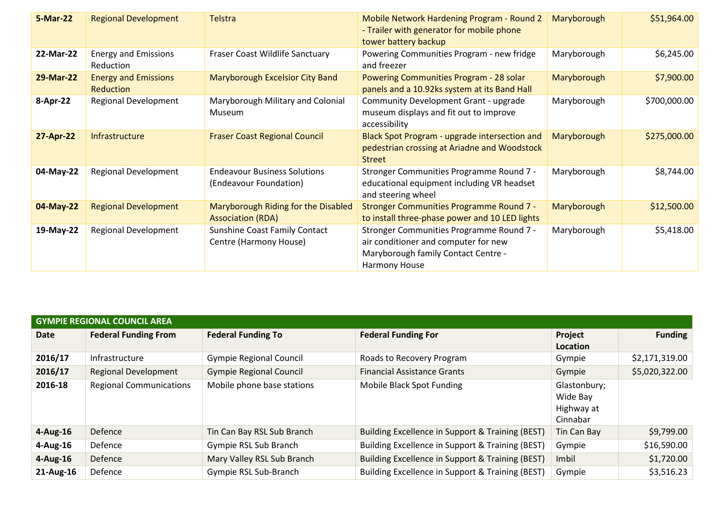| <b>5-Mar-22</b> | <b>Regional Development</b>              | Telstra                                                         | Mobile Network Hardening Program - Round 2<br>- Trailer with generator for mobile phone<br>tower battery backup                          | Maryborough | \$51,964.00  |
|-----------------|------------------------------------------|-----------------------------------------------------------------|------------------------------------------------------------------------------------------------------------------------------------------|-------------|--------------|
| 22-Mar-22       | <b>Energy and Emissions</b><br>Reduction | <b>Fraser Coast Wildlife Sanctuary</b>                          | Powering Communities Program - new fridge<br>and freezer                                                                                 | Maryborough | \$6,245.00   |
| 29-Mar-22       | <b>Energy and Emissions</b><br>Reduction | <b>Maryborough Excelsior City Band</b>                          | Powering Communities Program - 28 solar<br>panels and a 10.92ks system at its Band Hall                                                  | Maryborough | \$7,900.00   |
| 8-Apr-22        | <b>Regional Development</b>              | Maryborough Military and Colonial<br>Museum                     | Community Development Grant - upgrade<br>museum displays and fit out to improve<br>accessibility                                         | Maryborough | \$700,000.00 |
| 27-Apr-22       | Infrastructure                           | <b>Fraser Coast Regional Council</b>                            | Black Spot Program - upgrade intersection and<br>pedestrian crossing at Ariadne and Woodstock<br><b>Street</b>                           | Maryborough | \$275,000.00 |
| 04-May-22       | <b>Regional Development</b>              | <b>Endeavour Business Solutions</b><br>(Endeavour Foundation)   | Stronger Communities Programme Round 7 -<br>educational equipment including VR headset<br>and steering wheel                             | Maryborough | \$8,744.00   |
| 04-May-22       | <b>Regional Development</b>              | Maryborough Riding for the Disabled<br><b>Association (RDA)</b> | <b>Stronger Communities Programme Round 7 -</b><br>to install three-phase power and 10 LED lights                                        | Maryborough | \$12,500.00  |
| 19-May-22       | <b>Regional Development</b>              | <b>Sunshine Coast Family Contact</b><br>Centre (Harmony House)  | Stronger Communities Programme Round 7 -<br>air conditioner and computer for new<br>Maryborough family Contact Centre -<br>Harmony House | Maryborough | \$5,418.00   |

| <b>GYMPIE REGIONAL COUNCIL AREA</b> |                                |                                |                                                  |                                                    |                |  |  |
|-------------------------------------|--------------------------------|--------------------------------|--------------------------------------------------|----------------------------------------------------|----------------|--|--|
| Date                                | <b>Federal Funding From</b>    | <b>Federal Funding To</b>      | <b>Federal Funding For</b>                       | Project<br>Location                                | <b>Funding</b> |  |  |
| 2016/17                             | Infrastructure                 | <b>Gympie Regional Council</b> | Roads to Recovery Program                        | Gympie                                             | \$2,171,319.00 |  |  |
| 2016/17                             | <b>Regional Development</b>    | <b>Gympie Regional Council</b> | <b>Financial Assistance Grants</b>               | Gympie                                             | \$5,020,322.00 |  |  |
| 2016-18                             | <b>Regional Communications</b> | Mobile phone base stations     | Mobile Black Spot Funding                        | Glastonbury;<br>Wide Bay<br>Highway at<br>Cinnabar |                |  |  |
| $4$ -Aug-16                         | Defence                        | Tin Can Bay RSL Sub Branch     | Building Excellence in Support & Training (BEST) | Tin Can Bay                                        | \$9,799.00     |  |  |
| $4$ -Aug-16                         | Defence                        | Gympie RSL Sub Branch          | Building Excellence in Support & Training (BEST) | Gympie                                             | \$16,590.00    |  |  |
| $4$ -Aug-16                         | Defence                        | Mary Valley RSL Sub Branch     | Building Excellence in Support & Training (BEST) | Imbil                                              | \$1,720.00     |  |  |
| 21-Aug-16                           | Defence                        | Gympie RSL Sub-Branch          | Building Excellence in Support & Training (BEST) | Gympie                                             | \$3,516.23     |  |  |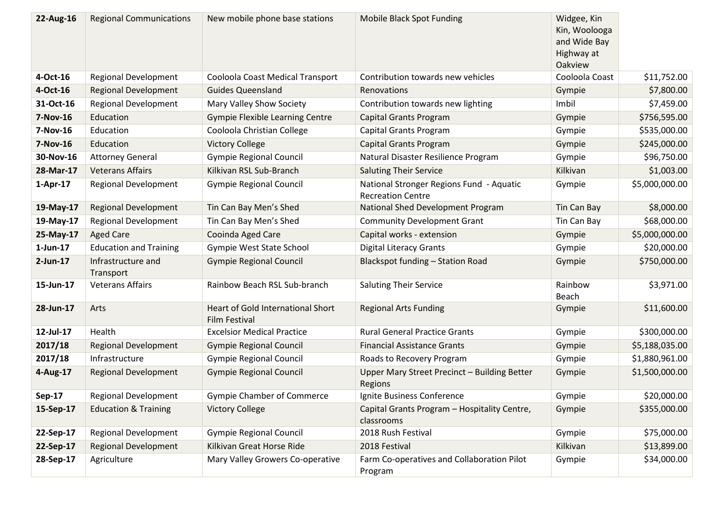| 22-Aug-16     | <b>Regional Communications</b>  | New mobile phone base stations                                   | <b>Mobile Black Spot Funding</b>                                     | Widgee, Kin<br>Kin, Woolooga<br>and Wide Bay<br>Highway at<br>Oakview |                |
|---------------|---------------------------------|------------------------------------------------------------------|----------------------------------------------------------------------|-----------------------------------------------------------------------|----------------|
| 4-Oct-16      | <b>Regional Development</b>     | Cooloola Coast Medical Transport                                 | Contribution towards new vehicles                                    | Cooloola Coast                                                        | \$11,752.00    |
| 4-Oct-16      | <b>Regional Development</b>     | <b>Guides Queensland</b>                                         | Renovations                                                          | Gympie                                                                | \$7,800.00     |
| 31-Oct-16     | <b>Regional Development</b>     | Mary Valley Show Society                                         | Contribution towards new lighting                                    | Imbil                                                                 | \$7,459.00     |
| 7-Nov-16      | Education                       | <b>Gympie Flexible Learning Centre</b>                           | Capital Grants Program                                               | Gympie                                                                | \$756,595.00   |
| 7-Nov-16      | Education                       | Cooloola Christian College                                       | Capital Grants Program                                               | Gympie                                                                | \$535,000.00   |
| 7-Nov-16      | Education                       | <b>Victory College</b>                                           | <b>Capital Grants Program</b>                                        | Gympie                                                                | \$245,000.00   |
| 30-Nov-16     | <b>Attorney General</b>         | <b>Gympie Regional Council</b>                                   | Natural Disaster Resilience Program                                  | Gympie                                                                | \$96,750.00    |
| 28-Mar-17     | <b>Veterans Affairs</b>         | Kilkivan RSL Sub-Branch                                          | <b>Saluting Their Service</b>                                        | Kilkivan                                                              | \$1,003.00     |
| 1-Apr-17      | <b>Regional Development</b>     | <b>Gympie Regional Council</b>                                   | National Stronger Regions Fund - Aquatic<br><b>Recreation Centre</b> | Gympie                                                                | \$5,000,000.00 |
| 19-May-17     | <b>Regional Development</b>     | Tin Can Bay Men's Shed                                           | National Shed Development Program                                    | Tin Can Bay                                                           | \$8,000.00     |
| 19-May-17     | <b>Regional Development</b>     | Tin Can Bay Men's Shed                                           | <b>Community Development Grant</b>                                   | Tin Can Bay                                                           | \$68,000.00    |
| 25-May-17     | <b>Aged Care</b>                | Cooinda Aged Care                                                | Capital works - extension                                            | Gympie                                                                | \$5,000,000.00 |
| $1$ -Jun-17   | <b>Education and Training</b>   | Gympie West State School                                         | <b>Digital Literacy Grants</b>                                       | Gympie                                                                | \$20,000.00    |
| $2$ -Jun-17   | Infrastructure and<br>Transport | <b>Gympie Regional Council</b>                                   | <b>Blackspot funding - Station Road</b>                              | Gympie                                                                | \$750,000.00   |
| 15-Jun-17     | <b>Veterans Affairs</b>         | Rainbow Beach RSL Sub-branch                                     | <b>Saluting Their Service</b>                                        | Rainbow<br>Beach                                                      | \$3,971.00     |
| 28-Jun-17     | Arts                            | <b>Heart of Gold International Short</b><br><b>Film Festival</b> | <b>Regional Arts Funding</b>                                         | Gympie                                                                | \$11,600.00    |
| 12-Jul-17     | Health                          | <b>Excelsior Medical Practice</b>                                | <b>Rural General Practice Grants</b>                                 | Gympie                                                                | \$300,000.00   |
| 2017/18       | <b>Regional Development</b>     | <b>Gympie Regional Council</b>                                   | <b>Financial Assistance Grants</b>                                   | Gympie                                                                | \$5,188,035.00 |
| 2017/18       | Infrastructure                  | <b>Gympie Regional Council</b>                                   | Roads to Recovery Program                                            | Gympie                                                                | \$1,880,961.00 |
| 4-Aug-17      | <b>Regional Development</b>     | <b>Gympie Regional Council</b>                                   | Upper Mary Street Precinct - Building Better<br>Regions              | Gympie                                                                | \$1,500,000.00 |
| <b>Sep-17</b> | <b>Regional Development</b>     | <b>Gympie Chamber of Commerce</b>                                | Ignite Business Conference                                           | Gympie                                                                | \$20,000.00    |
| 15-Sep-17     | <b>Education &amp; Training</b> | <b>Victory College</b>                                           | Capital Grants Program - Hospitality Centre,<br>classrooms           | Gympie                                                                | \$355,000.00   |
| 22-Sep-17     | <b>Regional Development</b>     | <b>Gympie Regional Council</b>                                   | 2018 Rush Festival                                                   | Gympie                                                                | \$75,000.00    |
| 22-Sep-17     | <b>Regional Development</b>     | Kilkivan Great Horse Ride                                        | 2018 Festival                                                        | Kilkivan                                                              | \$13,899.00    |
| 28-Sep-17     | Agriculture                     | Mary Valley Growers Co-operative                                 | Farm Co-operatives and Collaboration Pilot<br>Program                | Gympie                                                                | \$34,000.00    |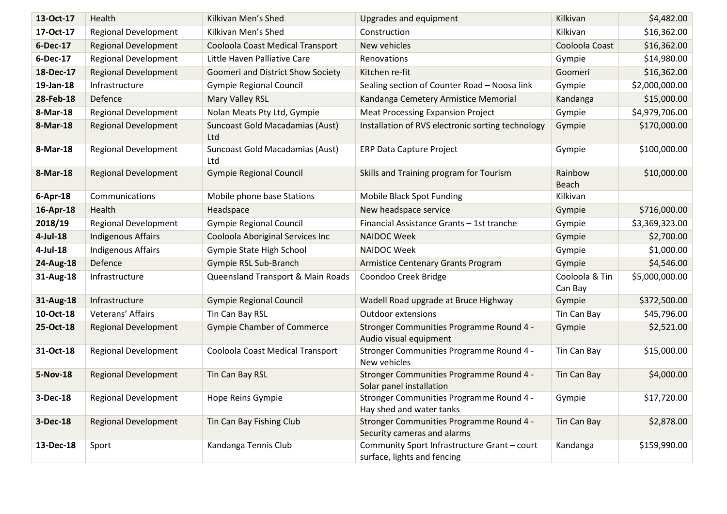| 13-Oct-17   | Health                      | Kilkivan Men's Shed                    | Upgrades and equipment                                                      | Kilkivan                  | \$4,482.00     |
|-------------|-----------------------------|----------------------------------------|-----------------------------------------------------------------------------|---------------------------|----------------|
| 17-Oct-17   | <b>Regional Development</b> | Kilkivan Men's Shed                    | Construction                                                                | Kilkivan                  | \$16,362.00    |
| 6-Dec-17    | <b>Regional Development</b> | Cooloola Coast Medical Transport       | New vehicles                                                                | Cooloola Coast            | \$16,362.00    |
| 6-Dec-17    | <b>Regional Development</b> | Little Haven Palliative Care           | Renovations                                                                 | Gympie                    | \$14,980.00    |
| 18-Dec-17   | <b>Regional Development</b> | Goomeri and District Show Society      | Kitchen re-fit                                                              | Goomeri                   | \$16,362.00    |
| 19-Jan-18   | Infrastructure              | <b>Gympie Regional Council</b>         | Sealing section of Counter Road - Noosa link                                | Gympie                    | \$2,000,000.00 |
| 28-Feb-18   | Defence                     | Mary Valley RSL                        | Kandanga Cemetery Armistice Memorial                                        | Kandanga                  | \$15,000.00    |
| 8-Mar-18    | <b>Regional Development</b> | Nolan Meats Pty Ltd, Gympie            | <b>Meat Processing Expansion Project</b>                                    | Gympie                    | \$4,979,706.00 |
| 8-Mar-18    | <b>Regional Development</b> | Suncoast Gold Macadamias (Aust)<br>Ltd | Installation of RVS electronic sorting technology                           | Gympie                    | \$170,000.00   |
| 8-Mar-18    | Regional Development        | Suncoast Gold Macadamias (Aust)<br>Ltd | <b>ERP Data Capture Project</b>                                             | Gympie                    | \$100,000.00   |
| 8-Mar-18    | <b>Regional Development</b> | <b>Gympie Regional Council</b>         | Skills and Training program for Tourism                                     | Rainbow<br><b>Beach</b>   | \$10,000.00    |
| 6-Apr-18    | Communications              | Mobile phone base Stations             | Mobile Black Spot Funding                                                   | Kilkivan                  |                |
| 16-Apr-18   | Health                      | Headspace                              | New headspace service                                                       | Gympie                    | \$716,000.00   |
| 2018/19     | <b>Regional Development</b> | <b>Gympie Regional Council</b>         | Financial Assistance Grants - 1st tranche                                   | Gympie                    | \$3,369,323.00 |
| $4$ -Jul-18 | <b>Indigenous Affairs</b>   | Cooloola Aboriginal Services Inc       | <b>NAIDOC Week</b>                                                          | Gympie                    | \$2,700.00     |
| $4$ -Jul-18 | <b>Indigenous Affairs</b>   | Gympie State High School               | NAIDOC Week                                                                 | Gympie                    | \$1,000.00     |
| 24-Aug-18   | Defence                     | Gympie RSL Sub-Branch                  | Armistice Centenary Grants Program                                          | Gympie                    | \$4,546.00     |
| 31-Aug-18   | Infrastructure              | Queensland Transport & Main Roads      | Coondoo Creek Bridge                                                        | Cooloola & Tin<br>Can Bay | \$5,000,000.00 |
| 31-Aug-18   | Infrastructure              | <b>Gympie Regional Council</b>         | Wadell Road upgrade at Bruce Highway                                        | Gympie                    | \$372,500.00   |
| 10-Oct-18   | Veterans' Affairs           | Tin Can Bay RSL                        | Outdoor extensions                                                          | Tin Can Bay               | \$45,796.00    |
| 25-Oct-18   | <b>Regional Development</b> | <b>Gympie Chamber of Commerce</b>      | Stronger Communities Programme Round 4 -<br>Audio visual equipment          | Gympie                    | \$2,521.00     |
| 31-Oct-18   | <b>Regional Development</b> | Cooloola Coast Medical Transport       | Stronger Communities Programme Round 4 -<br>New vehicles                    | Tin Can Bay               | \$15,000.00    |
| 5-Nov-18    | <b>Regional Development</b> | Tin Can Bay RSL                        | Stronger Communities Programme Round 4 -<br>Solar panel installation        | Tin Can Bay               | \$4,000.00     |
| 3-Dec-18    | <b>Regional Development</b> | Hope Reins Gympie                      | Stronger Communities Programme Round 4 -<br>Hay shed and water tanks        | Gympie                    | \$17,720.00    |
| 3-Dec-18    | <b>Regional Development</b> | Tin Can Bay Fishing Club               | Stronger Communities Programme Round 4 -<br>Security cameras and alarms     | Tin Can Bay               | \$2,878.00     |
| 13-Dec-18   | Sport                       | Kandanga Tennis Club                   | Community Sport Infrastructure Grant - court<br>surface, lights and fencing | Kandanga                  | \$159,990.00   |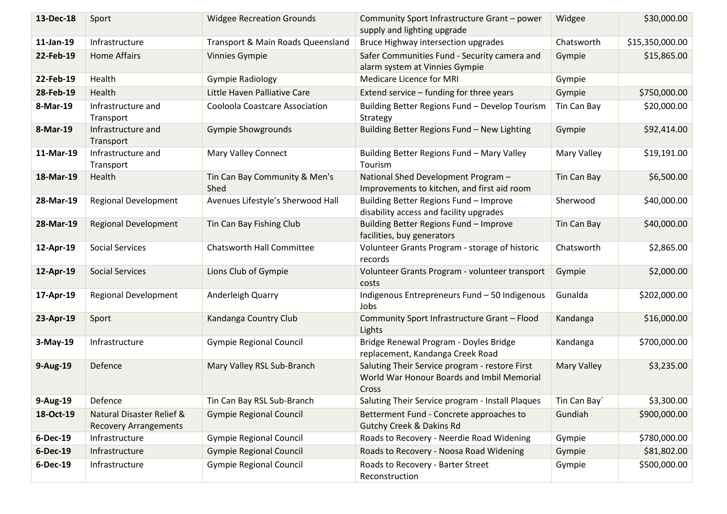| 13-Dec-18 | Sport                                                     | <b>Widgee Recreation Grounds</b>      | Community Sport Infrastructure Grant - power<br>supply and lighting upgrade                           | Widgee             | \$30,000.00     |
|-----------|-----------------------------------------------------------|---------------------------------------|-------------------------------------------------------------------------------------------------------|--------------------|-----------------|
| 11-Jan-19 | Infrastructure                                            | Transport & Main Roads Queensland     | Bruce Highway intersection upgrades                                                                   | Chatsworth         | \$15,350,000.00 |
| 22-Feb-19 | <b>Home Affairs</b>                                       | Vinnies Gympie                        | Safer Communities Fund - Security camera and<br>alarm system at Vinnies Gympie                        | Gympie             | \$15,865.00     |
| 22-Feb-19 | Health                                                    | <b>Gympie Radiology</b>               | <b>Medicare Licence for MRI</b>                                                                       | Gympie             |                 |
| 28-Feb-19 | Health                                                    | Little Haven Palliative Care          | Extend service - funding for three years                                                              | Gympie             | \$750,000.00    |
| 8-Mar-19  | Infrastructure and<br>Transport                           | Cooloola Coastcare Association        | Building Better Regions Fund - Develop Tourism<br>Strategy                                            | Tin Can Bay        | \$20,000.00     |
| 8-Mar-19  | Infrastructure and<br>Transport                           | <b>Gympie Showgrounds</b>             | Building Better Regions Fund - New Lighting                                                           | Gympie             | \$92,414.00     |
| 11-Mar-19 | Infrastructure and<br>Transport                           | Mary Valley Connect                   | Building Better Regions Fund - Mary Valley<br>Tourism                                                 | <b>Mary Valley</b> | \$19,191.00     |
| 18-Mar-19 | Health                                                    | Tin Can Bay Community & Men's<br>Shed | National Shed Development Program -<br>Improvements to kitchen, and first aid room                    | Tin Can Bay        | \$6,500.00      |
| 28-Mar-19 | <b>Regional Development</b>                               | Avenues Lifestyle's Sherwood Hall     | Building Better Regions Fund - Improve<br>disability access and facility upgrades                     | Sherwood           | \$40,000.00     |
| 28-Mar-19 | <b>Regional Development</b>                               | Tin Can Bay Fishing Club              | Building Better Regions Fund - Improve<br>facilities, buy generators                                  | Tin Can Bay        | \$40,000.00     |
| 12-Apr-19 | <b>Social Services</b>                                    | <b>Chatsworth Hall Committee</b>      | Volunteer Grants Program - storage of historic<br>records                                             | Chatsworth         | \$2,865.00      |
| 12-Apr-19 | <b>Social Services</b>                                    | Lions Club of Gympie                  | Volunteer Grants Program - volunteer transport<br>costs                                               | Gympie             | \$2,000.00      |
| 17-Apr-19 | <b>Regional Development</b>                               | Anderleigh Quarry                     | Indigenous Entrepreneurs Fund - 50 Indigenous<br>Jobs                                                 | Gunalda            | \$202,000.00    |
| 23-Apr-19 | Sport                                                     | Kandanga Country Club                 | Community Sport Infrastructure Grant - Flood<br>Lights                                                | Kandanga           | \$16,000.00     |
| 3-May-19  | Infrastructure                                            | <b>Gympie Regional Council</b>        | Bridge Renewal Program - Doyles Bridge<br>replacement, Kandanga Creek Road                            | Kandanga           | \$700,000.00    |
| 9-Aug-19  | Defence                                                   | Mary Valley RSL Sub-Branch            | Saluting Their Service program - restore First<br>World War Honour Boards and Imbil Memorial<br>Cross | <b>Mary Valley</b> | \$3,235.00      |
| 9-Aug-19  | Defence                                                   | Tin Can Bay RSL Sub-Branch            | Saluting Their Service program - Install Plaques                                                      | Tin Can Bay        | \$3,300.00      |
| 18-Oct-19 | Natural Disaster Relief &<br><b>Recovery Arrangements</b> | <b>Gympie Regional Council</b>        | Betterment Fund - Concrete approaches to<br><b>Gutchy Creek &amp; Dakins Rd</b>                       | Gundiah            | \$900,000.00    |
| 6-Dec-19  | Infrastructure                                            | <b>Gympie Regional Council</b>        | Roads to Recovery - Neerdie Road Widening                                                             | Gympie             | \$780,000.00    |
| 6-Dec-19  | Infrastructure                                            | <b>Gympie Regional Council</b>        | Roads to Recovery - Noosa Road Widening                                                               | Gympie             | \$81,802.00     |
| 6-Dec-19  | Infrastructure                                            | <b>Gympie Regional Council</b>        | Roads to Recovery - Barter Street<br>Reconstruction                                                   | Gympie             | \$500,000.00    |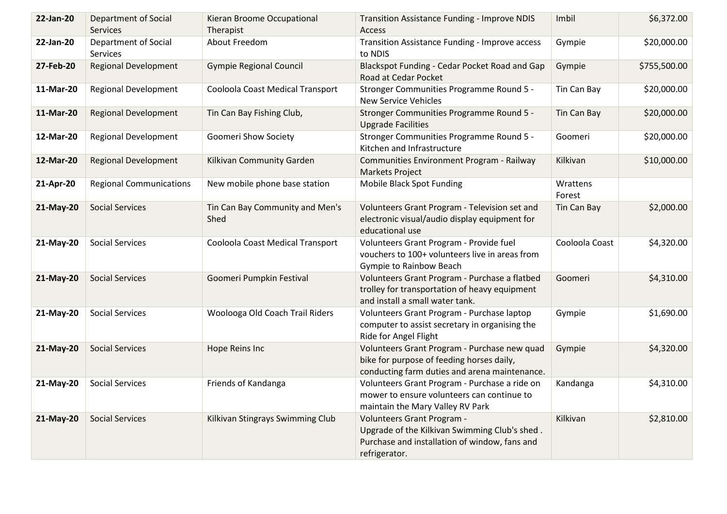| 22-Jan-20 | <b>Department of Social</b><br>Services | Kieran Broome Occupational<br>Therapist | <b>Transition Assistance Funding - Improve NDIS</b><br>Access                                                                                 | Imbil              | \$6,372.00   |
|-----------|-----------------------------------------|-----------------------------------------|-----------------------------------------------------------------------------------------------------------------------------------------------|--------------------|--------------|
| 22-Jan-20 | Department of Social<br>Services        | About Freedom                           | Transition Assistance Funding - Improve access<br>to NDIS                                                                                     | Gympie             | \$20,000.00  |
| 27-Feb-20 | <b>Regional Development</b>             | <b>Gympie Regional Council</b>          | Blackspot Funding - Cedar Pocket Road and Gap<br>Road at Cedar Pocket                                                                         | Gympie             | \$755,500.00 |
| 11-Mar-20 | <b>Regional Development</b>             | Cooloola Coast Medical Transport        | Stronger Communities Programme Round 5 -<br><b>New Service Vehicles</b>                                                                       | Tin Can Bay        | \$20,000.00  |
| 11-Mar-20 | <b>Regional Development</b>             | Tin Can Bay Fishing Club,               | Stronger Communities Programme Round 5 -<br><b>Upgrade Facilities</b>                                                                         | Tin Can Bay        | \$20,000.00  |
| 12-Mar-20 | <b>Regional Development</b>             | <b>Goomeri Show Society</b>             | Stronger Communities Programme Round 5 -<br>Kitchen and Infrastructure                                                                        | Goomeri            | \$20,000.00  |
| 12-Mar-20 | <b>Regional Development</b>             | Kilkivan Community Garden               | <b>Communities Environment Program - Railway</b><br><b>Markets Project</b>                                                                    | Kilkivan           | \$10,000.00  |
| 21-Apr-20 | <b>Regional Communications</b>          | New mobile phone base station           | Mobile Black Spot Funding                                                                                                                     | Wrattens<br>Forest |              |
| 21-May-20 | <b>Social Services</b>                  | Tin Can Bay Community and Men's<br>Shed | Volunteers Grant Program - Television set and<br>electronic visual/audio display equipment for<br>educational use                             | Tin Can Bay        | \$2,000.00   |
| 21-May-20 | <b>Social Services</b>                  | Cooloola Coast Medical Transport        | Volunteers Grant Program - Provide fuel<br>vouchers to 100+ volunteers live in areas from<br>Gympie to Rainbow Beach                          | Cooloola Coast     | \$4,320.00   |
| 21-May-20 | <b>Social Services</b>                  | Goomeri Pumpkin Festival                | Volunteers Grant Program - Purchase a flatbed<br>trolley for transportation of heavy equipment<br>and install a small water tank.             | Goomeri            | \$4,310.00   |
| 21-May-20 | <b>Social Services</b>                  | Woolooga Old Coach Trail Riders         | Volunteers Grant Program - Purchase laptop<br>computer to assist secretary in organising the<br>Ride for Angel Flight                         | Gympie             | \$1,690.00   |
| 21-May-20 | <b>Social Services</b>                  | Hope Reins Inc                          | Volunteers Grant Program - Purchase new quad<br>bike for purpose of feeding horses daily,<br>conducting farm duties and arena maintenance.    | Gympie             | \$4,320.00   |
| 21-May-20 | <b>Social Services</b>                  | Friends of Kandanga                     | Volunteers Grant Program - Purchase a ride on<br>mower to ensure volunteers can continue to<br>maintain the Mary Valley RV Park               | Kandanga           | \$4,310.00   |
| 21-May-20 | <b>Social Services</b>                  | Kilkivan Stingrays Swimming Club        | Volunteers Grant Program -<br>Upgrade of the Kilkivan Swimming Club's shed.<br>Purchase and installation of window, fans and<br>refrigerator. | Kilkivan           | \$2,810.00   |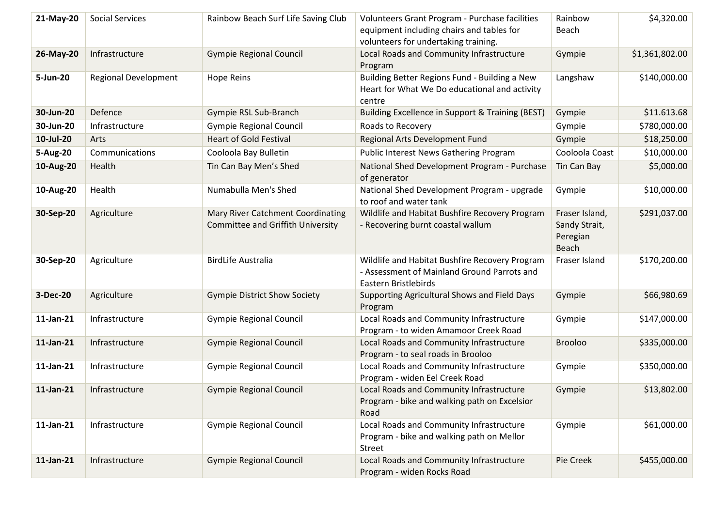| 21-May-20 | <b>Social Services</b>      | Rainbow Beach Surf Life Saving Club                                           | Volunteers Grant Program - Purchase facilities<br>equipment including chairs and tables for<br>volunteers for undertaking training. | Rainbow<br>Beach                                            | \$4,320.00     |
|-----------|-----------------------------|-------------------------------------------------------------------------------|-------------------------------------------------------------------------------------------------------------------------------------|-------------------------------------------------------------|----------------|
| 26-May-20 | Infrastructure              | <b>Gympie Regional Council</b>                                                | Local Roads and Community Infrastructure<br>Program                                                                                 | Gympie                                                      | \$1,361,802.00 |
| 5-Jun-20  | <b>Regional Development</b> | <b>Hope Reins</b>                                                             | Building Better Regions Fund - Building a New<br>Heart for What We Do educational and activity<br>centre                            | Langshaw                                                    | \$140,000.00   |
| 30-Jun-20 | Defence                     | Gympie RSL Sub-Branch                                                         | Building Excellence in Support & Training (BEST)                                                                                    | Gympie                                                      | \$11.613.68    |
| 30-Jun-20 | Infrastructure              | <b>Gympie Regional Council</b>                                                | Roads to Recovery                                                                                                                   | Gympie                                                      | \$780,000.00   |
| 10-Jul-20 | Arts                        | <b>Heart of Gold Festival</b>                                                 | Regional Arts Development Fund                                                                                                      | Gympie                                                      | \$18,250.00    |
| 5-Aug-20  | Communications              | Cooloola Bay Bulletin                                                         | Public Interest News Gathering Program                                                                                              | Cooloola Coast                                              | \$10,000.00    |
| 10-Aug-20 | Health                      | Tin Can Bay Men's Shed                                                        | National Shed Development Program - Purchase<br>of generator                                                                        | Tin Can Bay                                                 | \$5,000.00     |
| 10-Aug-20 | Health                      | Numabulla Men's Shed                                                          | National Shed Development Program - upgrade<br>to roof and water tank                                                               | Gympie                                                      | \$10,000.00    |
| 30-Sep-20 | Agriculture                 | Mary River Catchment Coordinating<br><b>Committee and Griffith University</b> | Wildlife and Habitat Bushfire Recovery Program<br>- Recovering burnt coastal wallum                                                 | Fraser Island,<br>Sandy Strait,<br>Peregian<br><b>Beach</b> | \$291,037.00   |
| 30-Sep-20 | Agriculture                 | <b>BirdLife Australia</b>                                                     | Wildlife and Habitat Bushfire Recovery Program<br>- Assessment of Mainland Ground Parrots and<br>Eastern Bristlebirds               | Fraser Island                                               | \$170,200.00   |
| 3-Dec-20  | Agriculture                 | <b>Gympie District Show Society</b>                                           | Supporting Agricultural Shows and Field Days<br>Program                                                                             | Gympie                                                      | \$66,980.69    |
| 11-Jan-21 | Infrastructure              | <b>Gympie Regional Council</b>                                                | Local Roads and Community Infrastructure<br>Program - to widen Amamoor Creek Road                                                   | Gympie                                                      | \$147,000.00   |
| 11-Jan-21 | Infrastructure              | <b>Gympie Regional Council</b>                                                | Local Roads and Community Infrastructure<br>Program - to seal roads in Brooloo                                                      | <b>Brooloo</b>                                              | \$335,000.00   |
| 11-Jan-21 | Infrastructure              | <b>Gympie Regional Council</b>                                                | Local Roads and Community Infrastructure<br>Program - widen Eel Creek Road                                                          | Gympie                                                      | \$350,000.00   |
| 11-Jan-21 | Infrastructure              | <b>Gympie Regional Council</b>                                                | Local Roads and Community Infrastructure<br>Program - bike and walking path on Excelsior<br>Road                                    | Gympie                                                      | \$13,802.00    |
| 11-Jan-21 | Infrastructure              | <b>Gympie Regional Council</b>                                                | Local Roads and Community Infrastructure<br>Program - bike and walking path on Mellor<br>Street                                     | Gympie                                                      | \$61,000.00    |
| 11-Jan-21 | Infrastructure              | <b>Gympie Regional Council</b>                                                | Local Roads and Community Infrastructure<br>Program - widen Rocks Road                                                              | Pie Creek                                                   | \$455,000.00   |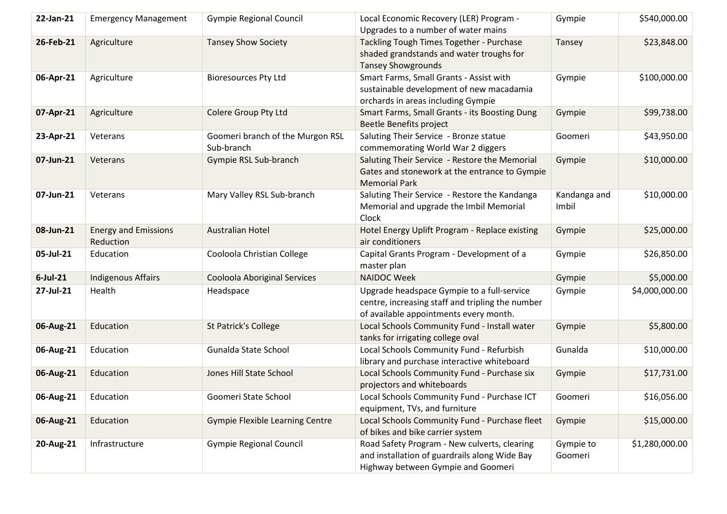| 22-Jan-21   | <b>Emergency Management</b>              | <b>Gympie Regional Council</b>                 | Local Economic Recovery (LER) Program -<br>Upgrades to a number of water mains                                                           | Gympie                | \$540,000.00   |
|-------------|------------------------------------------|------------------------------------------------|------------------------------------------------------------------------------------------------------------------------------------------|-----------------------|----------------|
| 26-Feb-21   | Agriculture                              | <b>Tansey Show Society</b>                     | Tackling Tough Times Together - Purchase<br>shaded grandstands and water troughs for<br><b>Tansey Showgrounds</b>                        | Tansey                | \$23,848.00    |
| 06-Apr-21   | Agriculture                              | <b>Bioresources Pty Ltd</b>                    | Smart Farms, Small Grants - Assist with<br>sustainable development of new macadamia<br>orchards in areas including Gympie                | Gympie                | \$100,000.00   |
| 07-Apr-21   | Agriculture                              | Colere Group Pty Ltd                           | Smart Farms, Small Grants - its Boosting Dung<br>Beetle Benefits project                                                                 | Gympie                | \$99,738.00    |
| 23-Apr-21   | Veterans                                 | Goomeri branch of the Murgon RSL<br>Sub-branch | Saluting Their Service - Bronze statue<br>commemorating World War 2 diggers                                                              | Goomeri               | \$43,950.00    |
| 07-Jun-21   | Veterans                                 | Gympie RSL Sub-branch                          | Saluting Their Service - Restore the Memorial<br>Gates and stonework at the entrance to Gympie<br><b>Memorial Park</b>                   | Gympie                | \$10,000.00    |
| 07-Jun-21   | Veterans                                 | Mary Valley RSL Sub-branch                     | Saluting Their Service - Restore the Kandanga<br>Memorial and upgrade the Imbil Memorial<br>Clock                                        | Kandanga and<br>Imbil | \$10,000.00    |
| 08-Jun-21   | <b>Energy and Emissions</b><br>Reduction | <b>Australian Hotel</b>                        | Hotel Energy Uplift Program - Replace existing<br>air conditioners                                                                       | Gympie                | \$25,000.00    |
| 05-Jul-21   | Education                                | Cooloola Christian College                     | Capital Grants Program - Development of a<br>master plan                                                                                 | Gympie                | \$26,850.00    |
| $6$ -Jul-21 | <b>Indigenous Affairs</b>                | Cooloola Aboriginal Services                   | <b>NAIDOC Week</b>                                                                                                                       | Gympie                | \$5,000.00     |
| 27-Jul-21   | Health                                   | Headspace                                      | Upgrade headspace Gympie to a full-service<br>centre, increasing staff and tripling the number<br>of available appointments every month. | Gympie                | \$4,000,000.00 |
| 06-Aug-21   | Education                                | St Patrick's College                           | Local Schools Community Fund - Install water<br>tanks for irrigating college oval                                                        | Gympie                | \$5,800.00     |
| 06-Aug-21   | Education                                | Gunalda State School                           | Local Schools Community Fund - Refurbish<br>library and purchase interactive whiteboard                                                  | Gunalda               | \$10,000.00    |
| 06-Aug-21   | Education                                | Jones Hill State School                        | Local Schools Community Fund - Purchase six<br>projectors and whiteboards                                                                | Gympie                | \$17,731.00    |
| 06-Aug-21   | Education                                | Goomeri State School                           | Local Schools Community Fund - Purchase ICT<br>equipment, TVs, and furniture                                                             | Goomeri               | \$16,056.00    |
| 06-Aug-21   | Education                                | <b>Gympie Flexible Learning Centre</b>         | Local Schools Community Fund - Purchase fleet<br>of bikes and bike carrier system                                                        | Gympie                | \$15,000.00    |
| 20-Aug-21   | Infrastructure                           | <b>Gympie Regional Council</b>                 | Road Safety Program - New culverts, clearing<br>and installation of guardrails along Wide Bay<br>Highway between Gympie and Goomeri      | Gympie to<br>Goomeri  | \$1,280,000.00 |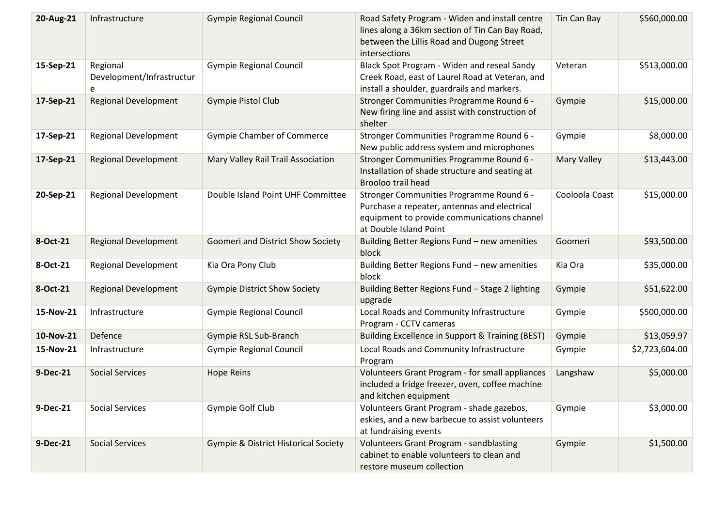| 20-Aug-21 | Infrastructure                             | <b>Gympie Regional Council</b>       | Road Safety Program - Widen and install centre<br>lines along a 36km section of Tin Can Bay Road,<br>between the Lillis Road and Dugong Street<br>intersections   | Tin Can Bay        | \$560,000.00   |
|-----------|--------------------------------------------|--------------------------------------|-------------------------------------------------------------------------------------------------------------------------------------------------------------------|--------------------|----------------|
| 15-Sep-21 | Regional<br>Development/Infrastructur<br>e | <b>Gympie Regional Council</b>       | Black Spot Program - Widen and reseal Sandy<br>Creek Road, east of Laurel Road at Veteran, and<br>install a shoulder, guardrails and markers.                     | Veteran            | \$513,000.00   |
| 17-Sep-21 | <b>Regional Development</b>                | Gympie Pistol Club                   | Stronger Communities Programme Round 6 -<br>New firing line and assist with construction of<br>shelter                                                            | Gympie             | \$15,000.00    |
| 17-Sep-21 | <b>Regional Development</b>                | <b>Gympie Chamber of Commerce</b>    | Stronger Communities Programme Round 6 -<br>New public address system and microphones                                                                             | Gympie             | \$8,000.00     |
| 17-Sep-21 | <b>Regional Development</b>                | Mary Valley Rail Trail Association   | Stronger Communities Programme Round 6 -<br>Installation of shade structure and seating at<br>Brooloo trail head                                                  | <b>Mary Valley</b> | \$13,443.00    |
| 20-Sep-21 | <b>Regional Development</b>                | Double Island Point UHF Committee    | Stronger Communities Programme Round 6 -<br>Purchase a repeater, antennas and electrical<br>equipment to provide communications channel<br>at Double Island Point | Cooloola Coast     | \$15,000.00    |
| 8-Oct-21  | <b>Regional Development</b>                | Goomeri and District Show Society    | Building Better Regions Fund - new amenities<br>block                                                                                                             | Goomeri            | \$93,500.00    |
| 8-Oct-21  | Regional Development                       | Kia Ora Pony Club                    | Building Better Regions Fund - new amenities<br>block                                                                                                             | Kia Ora            | \$35,000.00    |
| 8-Oct-21  | <b>Regional Development</b>                | <b>Gympie District Show Society</b>  | Building Better Regions Fund - Stage 2 lighting<br>upgrade                                                                                                        | Gympie             | \$51,622.00    |
| 15-Nov-21 | Infrastructure                             | <b>Gympie Regional Council</b>       | Local Roads and Community Infrastructure<br>Program - CCTV cameras                                                                                                | Gympie             | \$500,000.00   |
| 10-Nov-21 | Defence                                    | Gympie RSL Sub-Branch                | Building Excellence in Support & Training (BEST)                                                                                                                  | Gympie             | \$13,059.97    |
| 15-Nov-21 | Infrastructure                             | <b>Gympie Regional Council</b>       | Local Roads and Community Infrastructure<br>Program                                                                                                               | Gympie             | \$2,723,604.00 |
| 9-Dec-21  | <b>Social Services</b>                     | <b>Hope Reins</b>                    | Volunteers Grant Program - for small appliances<br>included a fridge freezer, oven, coffee machine<br>and kitchen equipment                                       | Langshaw           | \$5,000.00     |
| 9-Dec-21  | <b>Social Services</b>                     | Gympie Golf Club                     | Volunteers Grant Program - shade gazebos,<br>eskies, and a new barbecue to assist volunteers<br>at fundraising events                                             | Gympie             | \$3,000.00     |
| 9-Dec-21  | <b>Social Services</b>                     | Gympie & District Historical Society | Volunteers Grant Program - sandblasting<br>cabinet to enable volunteers to clean and<br>restore museum collection                                                 | Gympie             | \$1,500.00     |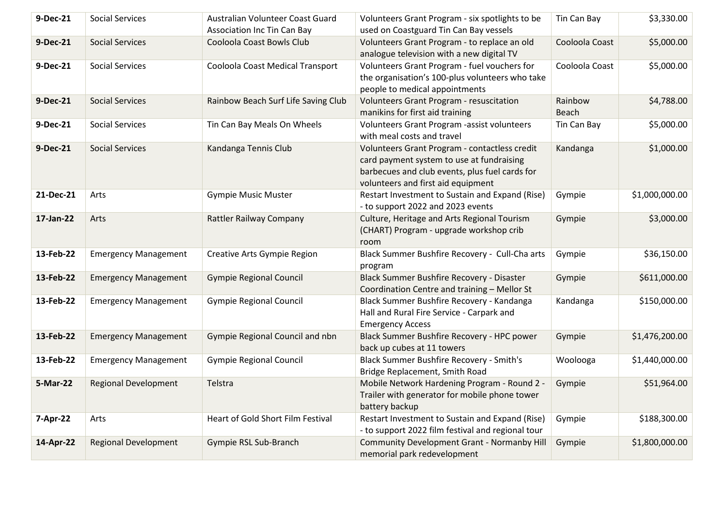| 9-Dec-21  | <b>Social Services</b>      | Australian Volunteer Coast Guard<br><b>Association Inc Tin Can Bay</b> | Volunteers Grant Program - six spotlights to be<br>used on Coastguard Tin Can Bay vessels                                                                                          | Tin Can Bay      | \$3,330.00     |
|-----------|-----------------------------|------------------------------------------------------------------------|------------------------------------------------------------------------------------------------------------------------------------------------------------------------------------|------------------|----------------|
| 9-Dec-21  | <b>Social Services</b>      | Cooloola Coast Bowls Club                                              | Volunteers Grant Program - to replace an old<br>analogue television with a new digital TV                                                                                          | Cooloola Coast   | \$5,000.00     |
| 9-Dec-21  | <b>Social Services</b>      | Cooloola Coast Medical Transport                                       | Volunteers Grant Program - fuel vouchers for<br>the organisation's 100-plus volunteers who take<br>people to medical appointments                                                  | Cooloola Coast   | \$5,000.00     |
| 9-Dec-21  | <b>Social Services</b>      | Rainbow Beach Surf Life Saving Club                                    | Volunteers Grant Program - resuscitation<br>manikins for first aid training                                                                                                        | Rainbow<br>Beach | \$4,788.00     |
| 9-Dec-21  | <b>Social Services</b>      | Tin Can Bay Meals On Wheels                                            | Volunteers Grant Program -assist volunteers<br>with meal costs and travel                                                                                                          | Tin Can Bay      | \$5,000.00     |
| 9-Dec-21  | <b>Social Services</b>      | Kandanga Tennis Club                                                   | Volunteers Grant Program - contactless credit<br>card payment system to use at fundraising<br>barbecues and club events, plus fuel cards for<br>volunteers and first aid equipment | Kandanga         | \$1,000.00     |
| 21-Dec-21 | Arts                        | <b>Gympie Music Muster</b>                                             | Restart Investment to Sustain and Expand (Rise)<br>- to support 2022 and 2023 events                                                                                               | Gympie           | \$1,000,000.00 |
| 17-Jan-22 | Arts                        | Rattler Railway Company                                                | Culture, Heritage and Arts Regional Tourism<br>(CHART) Program - upgrade workshop crib<br>room                                                                                     | Gympie           | \$3,000.00     |
| 13-Feb-22 | <b>Emergency Management</b> | Creative Arts Gympie Region                                            | Black Summer Bushfire Recovery - Cull-Cha arts<br>program                                                                                                                          | Gympie           | \$36,150.00    |
| 13-Feb-22 | <b>Emergency Management</b> | <b>Gympie Regional Council</b>                                         | Black Summer Bushfire Recovery - Disaster<br>Coordination Centre and training - Mellor St                                                                                          | Gympie           | \$611,000.00   |
| 13-Feb-22 | <b>Emergency Management</b> | <b>Gympie Regional Council</b>                                         | Black Summer Bushfire Recovery - Kandanga<br>Hall and Rural Fire Service - Carpark and<br><b>Emergency Access</b>                                                                  | Kandanga         | \$150,000.00   |
| 13-Feb-22 | <b>Emergency Management</b> | Gympie Regional Council and nbn                                        | Black Summer Bushfire Recovery - HPC power<br>back up cubes at 11 towers                                                                                                           | Gympie           | \$1,476,200.00 |
| 13-Feb-22 | <b>Emergency Management</b> | <b>Gympie Regional Council</b>                                         | <b>Black Summer Bushfire Recovery - Smith's</b><br>Bridge Replacement, Smith Road                                                                                                  | Woolooga         | \$1,440,000.00 |
| 5-Mar-22  | <b>Regional Development</b> | Telstra                                                                | Mobile Network Hardening Program - Round 2 -<br>Trailer with generator for mobile phone tower<br>battery backup                                                                    | Gympie           | \$51,964.00    |
| 7-Apr-22  | Arts                        | Heart of Gold Short Film Festival                                      | Restart Investment to Sustain and Expand (Rise)<br>- to support 2022 film festival and regional tour                                                                               | Gympie           | \$188,300.00   |
| 14-Apr-22 | <b>Regional Development</b> | Gympie RSL Sub-Branch                                                  | <b>Community Development Grant - Normanby Hill</b><br>memorial park redevelopment                                                                                                  | Gympie           | \$1,800,000.00 |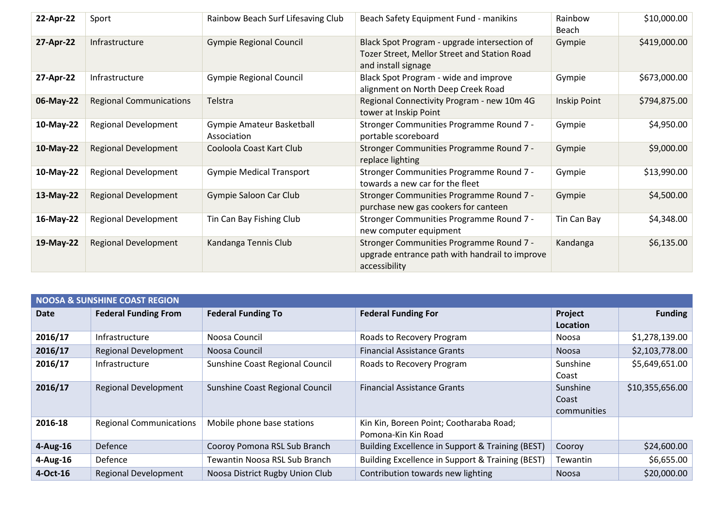| 22-Apr-22 | Sport                          | Rainbow Beach Surf Lifesaving Club       | Beach Safety Equipment Fund - manikins                                                                              | Rainbow<br>Beach    | \$10,000.00  |
|-----------|--------------------------------|------------------------------------------|---------------------------------------------------------------------------------------------------------------------|---------------------|--------------|
| 27-Apr-22 | Infrastructure                 | <b>Gympie Regional Council</b>           | Black Spot Program - upgrade intersection of<br>Tozer Street, Mellor Street and Station Road<br>and install signage | Gympie              | \$419,000.00 |
| 27-Apr-22 | Infrastructure                 | <b>Gympie Regional Council</b>           | Black Spot Program - wide and improve<br>alignment on North Deep Creek Road                                         | Gympie              | \$673,000.00 |
| 06-May-22 | <b>Regional Communications</b> | Telstra                                  | Regional Connectivity Program - new 10m 4G<br>tower at Inskip Point                                                 | <b>Inskip Point</b> | \$794,875.00 |
| 10-May-22 | <b>Regional Development</b>    | Gympie Amateur Basketball<br>Association | Stronger Communities Programme Round 7 -<br>portable scoreboard                                                     | Gympie              | \$4,950.00   |
| 10-May-22 | <b>Regional Development</b>    | Cooloola Coast Kart Club                 | Stronger Communities Programme Round 7 -<br>replace lighting                                                        | Gympie              | \$9,000.00   |
| 10-May-22 | <b>Regional Development</b>    | <b>Gympie Medical Transport</b>          | Stronger Communities Programme Round 7 -<br>towards a new car for the fleet                                         | Gympie              | \$13,990.00  |
| 13-May-22 | <b>Regional Development</b>    | Gympie Saloon Car Club                   | Stronger Communities Programme Round 7 -<br>purchase new gas cookers for canteen                                    | Gympie              | \$4,500.00   |
| 16-May-22 | <b>Regional Development</b>    | Tin Can Bay Fishing Club                 | Stronger Communities Programme Round 7 -<br>new computer equipment                                                  | Tin Can Bay         | \$4,348.00   |
| 19-May-22 | <b>Regional Development</b>    | Kandanga Tennis Club                     | Stronger Communities Programme Round 7 -<br>upgrade entrance path with handrail to improve<br>accessibility         | Kandanga            | \$6,135.00   |

| <b>NOOSA &amp; SUNSHINE COAST REGION</b> |                                |                                 |                                                                |                                  |                 |  |  |
|------------------------------------------|--------------------------------|---------------------------------|----------------------------------------------------------------|----------------------------------|-----------------|--|--|
| Date                                     | <b>Federal Funding From</b>    | <b>Federal Funding To</b>       | <b>Federal Funding For</b>                                     | Project<br>Location              | <b>Funding</b>  |  |  |
| 2016/17                                  | Infrastructure                 | Noosa Council                   | Roads to Recovery Program                                      | Noosa                            | \$1,278,139.00  |  |  |
| 2016/17                                  | <b>Regional Development</b>    | Noosa Council                   | <b>Financial Assistance Grants</b>                             | <b>Noosa</b>                     | \$2,103,778.00  |  |  |
| 2016/17                                  | Infrastructure                 | Sunshine Coast Regional Council | Roads to Recovery Program                                      | Sunshine<br>Coast                | \$5,649,651.00  |  |  |
| 2016/17                                  | <b>Regional Development</b>    | Sunshine Coast Regional Council | <b>Financial Assistance Grants</b>                             | Sunshine<br>Coast<br>communities | \$10,355,656.00 |  |  |
| 2016-18                                  | <b>Regional Communications</b> | Mobile phone base stations      | Kin Kin, Boreen Point; Cootharaba Road;<br>Pomona-Kin Kin Road |                                  |                 |  |  |
| $4$ -Aug-16                              | Defence                        | Cooroy Pomona RSL Sub Branch    | Building Excellence in Support & Training (BEST)               | Cooroy                           | \$24,600.00     |  |  |
| 4-Aug-16                                 | Defence                        | Tewantin Noosa RSL Sub Branch   | Building Excellence in Support & Training (BEST)               | Tewantin                         | \$6,655.00      |  |  |
| 4-Oct-16                                 | <b>Regional Development</b>    | Noosa District Rugby Union Club | Contribution towards new lighting                              | <b>Noosa</b>                     | \$20,000.00     |  |  |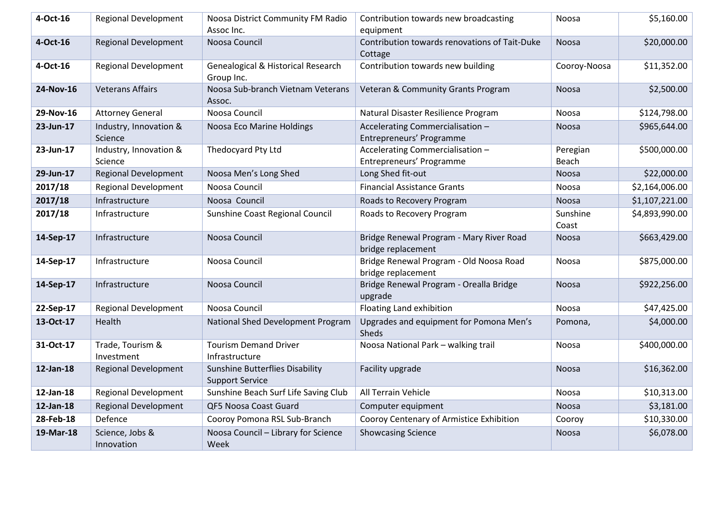| 4-Oct-16  | <b>Regional Development</b>       | Noosa District Community FM Radio<br>Assoc Inc.                  | Contribution towards new broadcasting<br>equipment             | Noosa             | \$5,160.00     |
|-----------|-----------------------------------|------------------------------------------------------------------|----------------------------------------------------------------|-------------------|----------------|
| 4-Oct-16  | <b>Regional Development</b>       | Noosa Council                                                    | Contribution towards renovations of Tait-Duke<br>Cottage       | Noosa             | \$20,000.00    |
| 4-Oct-16  | <b>Regional Development</b>       | Genealogical & Historical Research<br>Group Inc.                 | Contribution towards new building                              | Cooroy-Noosa      | \$11,352.00    |
| 24-Nov-16 | <b>Veterans Affairs</b>           | Noosa Sub-branch Vietnam Veterans<br>Assoc.                      | Veteran & Community Grants Program                             | Noosa             | \$2,500.00     |
| 29-Nov-16 | <b>Attorney General</b>           | Noosa Council                                                    | Natural Disaster Resilience Program                            | <b>Noosa</b>      | \$124,798.00   |
| 23-Jun-17 | Industry, Innovation &<br>Science | Noosa Eco Marine Holdings                                        | Accelerating Commercialisation -<br>Entrepreneurs' Programme   | Noosa             | \$965,644.00   |
| 23-Jun-17 | Industry, Innovation &<br>Science | Thedocyard Pty Ltd                                               | Accelerating Commercialisation -<br>Entrepreneurs' Programme   | Peregian<br>Beach | \$500,000.00   |
| 29-Jun-17 | <b>Regional Development</b>       | Noosa Men's Long Shed                                            | Long Shed fit-out                                              | Noosa             | \$22,000.00    |
| 2017/18   | <b>Regional Development</b>       | Noosa Council                                                    | <b>Financial Assistance Grants</b>                             | Noosa             | \$2,164,006.00 |
| 2017/18   | Infrastructure                    | Noosa Council                                                    | Roads to Recovery Program                                      | Noosa             | \$1,107,221.00 |
| 2017/18   | Infrastructure                    | Sunshine Coast Regional Council                                  | Roads to Recovery Program                                      | Sunshine<br>Coast | \$4,893,990.00 |
| 14-Sep-17 | Infrastructure                    | Noosa Council                                                    | Bridge Renewal Program - Mary River Road<br>bridge replacement | <b>Noosa</b>      | \$663,429.00   |
| 14-Sep-17 | Infrastructure                    | Noosa Council                                                    | Bridge Renewal Program - Old Noosa Road<br>bridge replacement  | Noosa             | \$875,000.00   |
| 14-Sep-17 | Infrastructure                    | Noosa Council                                                    | Bridge Renewal Program - Orealla Bridge<br>upgrade             | <b>Noosa</b>      | \$922,256.00   |
| 22-Sep-17 | <b>Regional Development</b>       | Noosa Council                                                    | Floating Land exhibition                                       | Noosa             | \$47,425.00    |
| 13-Oct-17 | Health                            | National Shed Development Program                                | Upgrades and equipment for Pomona Men's<br>Sheds               | Pomona,           | \$4,000.00     |
| 31-Oct-17 | Trade, Tourism &<br>Investment    | <b>Tourism Demand Driver</b><br>Infrastructure                   | Noosa National Park - walking trail                            | <b>Noosa</b>      | \$400,000.00   |
| 12-Jan-18 | <b>Regional Development</b>       | <b>Sunshine Butterflies Disability</b><br><b>Support Service</b> | Facility upgrade                                               | <b>Noosa</b>      | \$16,362.00    |
| 12-Jan-18 | <b>Regional Development</b>       | Sunshine Beach Surf Life Saving Club                             | All Terrain Vehicle                                            | Noosa             | \$10,313.00    |
| 12-Jan-18 | <b>Regional Development</b>       | QF5 Noosa Coast Guard                                            | Computer equipment                                             | Noosa             | \$3,181.00     |
| 28-Feb-18 | Defence                           | Cooroy Pomona RSL Sub-Branch                                     | Cooroy Centenary of Armistice Exhibition                       | Cooroy            | \$10,330.00    |
| 19-Mar-18 | Science, Jobs &<br>Innovation     | Noosa Council - Library for Science<br>Week                      | <b>Showcasing Science</b>                                      | <b>Noosa</b>      | \$6,078.00     |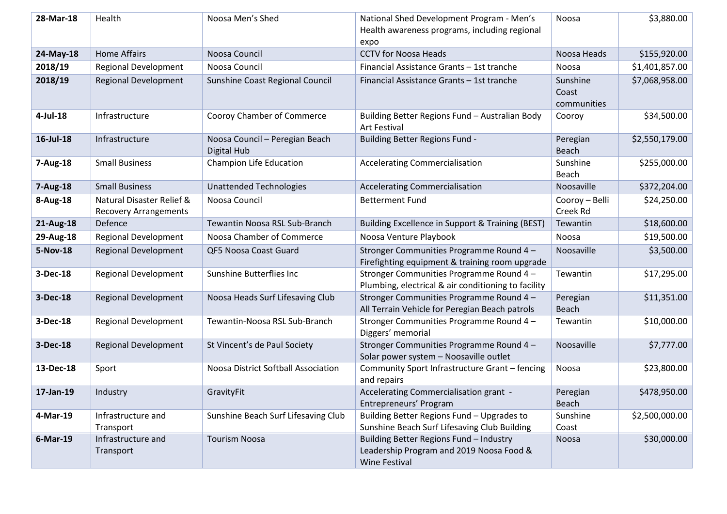| 28-Mar-18   | Health                                                    | Noosa Men's Shed                              | National Shed Development Program - Men's                                                                   | Noosa                            | \$3,880.00     |
|-------------|-----------------------------------------------------------|-----------------------------------------------|-------------------------------------------------------------------------------------------------------------|----------------------------------|----------------|
|             |                                                           |                                               | Health awareness programs, including regional                                                               |                                  |                |
|             |                                                           |                                               | expo                                                                                                        |                                  |                |
| 24-May-18   | <b>Home Affairs</b>                                       | Noosa Council                                 | <b>CCTV for Noosa Heads</b>                                                                                 | Noosa Heads                      | \$155,920.00   |
| 2018/19     | <b>Regional Development</b>                               | Noosa Council                                 | Financial Assistance Grants - 1st tranche                                                                   | <b>Noosa</b>                     | \$1,401,857.00 |
| 2018/19     | <b>Regional Development</b>                               | Sunshine Coast Regional Council               | Financial Assistance Grants - 1st tranche                                                                   | Sunshine<br>Coast<br>communities | \$7,068,958.00 |
| $4$ -Jul-18 | Infrastructure                                            | Cooroy Chamber of Commerce                    | Building Better Regions Fund - Australian Body<br><b>Art Festival</b>                                       | Cooroy                           | \$34,500.00    |
| 16-Jul-18   | Infrastructure                                            | Noosa Council - Peregian Beach<br>Digital Hub | Building Better Regions Fund -                                                                              | Peregian<br>Beach                | \$2,550,179.00 |
| 7-Aug-18    | <b>Small Business</b>                                     | Champion Life Education                       | <b>Accelerating Commercialisation</b>                                                                       | Sunshine<br>Beach                | \$255,000.00   |
| 7-Aug-18    | <b>Small Business</b>                                     | <b>Unattended Technologies</b>                | <b>Accelerating Commercialisation</b>                                                                       | Noosaville                       | \$372,204.00   |
| 8-Aug-18    | Natural Disaster Relief &<br><b>Recovery Arrangements</b> | Noosa Council                                 | <b>Betterment Fund</b>                                                                                      | Cooroy - Belli<br>Creek Rd       | \$24,250.00    |
| 21-Aug-18   | Defence                                                   | Tewantin Noosa RSL Sub-Branch                 | Building Excellence in Support & Training (BEST)                                                            | Tewantin                         | \$18,600.00    |
| 29-Aug-18   | <b>Regional Development</b>                               | Noosa Chamber of Commerce                     | Noosa Venture Playbook                                                                                      | Noosa                            | \$19,500.00    |
| 5-Nov-18    | <b>Regional Development</b>                               | QF5 Noosa Coast Guard                         | Stronger Communities Programme Round 4 -<br>Firefighting equipment & training room upgrade                  | Noosaville                       | \$3,500.00     |
| 3-Dec-18    | <b>Regional Development</b>                               | Sunshine Butterflies Inc                      | Stronger Communities Programme Round 4 -<br>Plumbing, electrical & air conditioning to facility             | Tewantin                         | \$17,295.00    |
| 3-Dec-18    | <b>Regional Development</b>                               | Noosa Heads Surf Lifesaving Club              | Stronger Communities Programme Round 4 -<br>All Terrain Vehicle for Peregian Beach patrols                  | Peregian<br>Beach                | \$11,351.00    |
| 3-Dec-18    | <b>Regional Development</b>                               | Tewantin-Noosa RSL Sub-Branch                 | Stronger Communities Programme Round 4 -<br>Diggers' memorial                                               | Tewantin                         | \$10,000.00    |
| 3-Dec-18    | <b>Regional Development</b>                               | St Vincent's de Paul Society                  | Stronger Communities Programme Round 4 -<br>Solar power system - Noosaville outlet                          | Noosaville                       | \$7,777.00     |
| 13-Dec-18   | Sport                                                     | Noosa District Softball Association           | Community Sport Infrastructure Grant - fencing<br>and repairs                                               | Noosa                            | \$23,800.00    |
| 17-Jan-19   | Industry                                                  | GravityFit                                    | Accelerating Commercialisation grant -<br>Entrepreneurs' Program                                            | Peregian<br>Beach                | \$478,950.00   |
| 4-Mar-19    | Infrastructure and<br>Transport                           | Sunshine Beach Surf Lifesaving Club           | Building Better Regions Fund - Upgrades to<br>Sunshine Beach Surf Lifesaving Club Building                  | Sunshine<br>Coast                | \$2,500,000.00 |
| 6-Mar-19    | Infrastructure and<br>Transport                           | <b>Tourism Noosa</b>                          | Building Better Regions Fund - Industry<br>Leadership Program and 2019 Noosa Food &<br><b>Wine Festival</b> | Noosa                            | \$30,000.00    |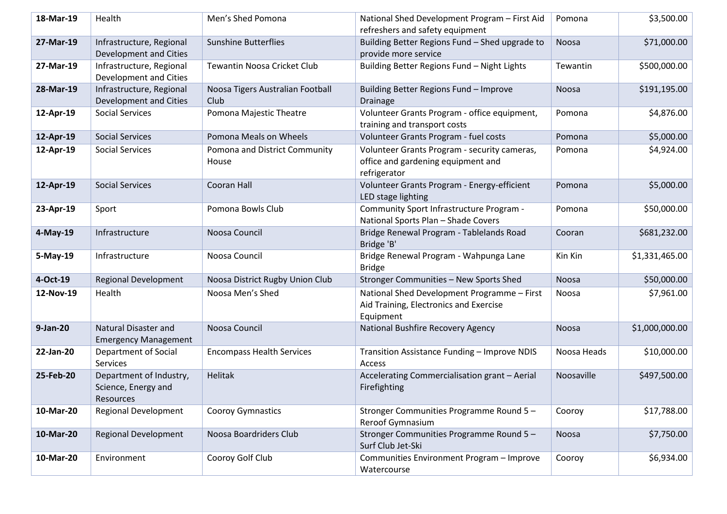| 18-Mar-19 | Health                                                      | Men's Shed Pomona                        | National Shed Development Program - First Aid<br>refreshers and safety equipment                   | Pomona      | \$3,500.00     |
|-----------|-------------------------------------------------------------|------------------------------------------|----------------------------------------------------------------------------------------------------|-------------|----------------|
| 27-Mar-19 | Infrastructure, Regional<br>Development and Cities          | <b>Sunshine Butterflies</b>              | Building Better Regions Fund - Shed upgrade to<br>provide more service                             | Noosa       | \$71,000.00    |
| 27-Mar-19 | Infrastructure, Regional<br>Development and Cities          | <b>Tewantin Noosa Cricket Club</b>       | Building Better Regions Fund - Night Lights                                                        | Tewantin    | \$500,000.00   |
| 28-Mar-19 | Infrastructure, Regional<br>Development and Cities          | Noosa Tigers Australian Football<br>Club | Building Better Regions Fund - Improve<br><b>Drainage</b>                                          | Noosa       | \$191,195.00   |
| 12-Apr-19 | <b>Social Services</b>                                      | Pomona Majestic Theatre                  | Volunteer Grants Program - office equipment,<br>training and transport costs                       | Pomona      | \$4,876.00     |
| 12-Apr-19 | <b>Social Services</b>                                      | Pomona Meals on Wheels                   | Volunteer Grants Program - fuel costs                                                              | Pomona      | \$5,000.00     |
| 12-Apr-19 | <b>Social Services</b>                                      | Pomona and District Community<br>House   | Volunteer Grants Program - security cameras,<br>office and gardening equipment and<br>refrigerator | Pomona      | \$4,924.00     |
| 12-Apr-19 | <b>Social Services</b>                                      | Cooran Hall                              | Volunteer Grants Program - Energy-efficient<br>LED stage lighting                                  | Pomona      | \$5,000.00     |
| 23-Apr-19 | Sport                                                       | Pomona Bowls Club                        | Community Sport Infrastructure Program -<br>National Sports Plan - Shade Covers                    | Pomona      | \$50,000.00    |
| 4-May-19  | Infrastructure                                              | Noosa Council                            | Bridge Renewal Program - Tablelands Road<br>Bridge 'B'                                             | Cooran      | \$681,232.00   |
| 5-May-19  | Infrastructure                                              | Noosa Council                            | Bridge Renewal Program - Wahpunga Lane<br><b>Bridge</b>                                            | Kin Kin     | \$1,331,465.00 |
| 4-Oct-19  | <b>Regional Development</b>                                 | Noosa District Rugby Union Club          | Stronger Communities - New Sports Shed                                                             | Noosa       | \$50,000.00    |
| 12-Nov-19 | Health                                                      | Noosa Men's Shed                         | National Shed Development Programme - First<br>Aid Training, Electronics and Exercise<br>Equipment | Noosa       | \$7,961.00     |
| 9-Jan-20  | <b>Natural Disaster and</b><br><b>Emergency Management</b>  | Noosa Council                            | National Bushfire Recovery Agency                                                                  | Noosa       | \$1,000,000.00 |
| 22-Jan-20 | Department of Social<br>Services                            | <b>Encompass Health Services</b>         | Transition Assistance Funding - Improve NDIS<br>Access                                             | Noosa Heads | \$10,000.00    |
| 25-Feb-20 | Department of Industry,<br>Science, Energy and<br>Resources | Helitak                                  | Accelerating Commercialisation grant - Aerial<br>Firefighting                                      | Noosaville  | \$497,500.00   |
| 10-Mar-20 | <b>Regional Development</b>                                 | Cooroy Gymnastics                        | Stronger Communities Programme Round 5 -<br>Reroof Gymnasium                                       | Cooroy      | \$17,788.00    |
| 10-Mar-20 | <b>Regional Development</b>                                 | Noosa Boardriders Club                   | Stronger Communities Programme Round 5 -<br>Surf Club Jet-Ski                                      | Noosa       | \$7,750.00     |
| 10-Mar-20 | Environment                                                 | Cooroy Golf Club                         | Communities Environment Program - Improve<br>Watercourse                                           | Cooroy      | \$6,934.00     |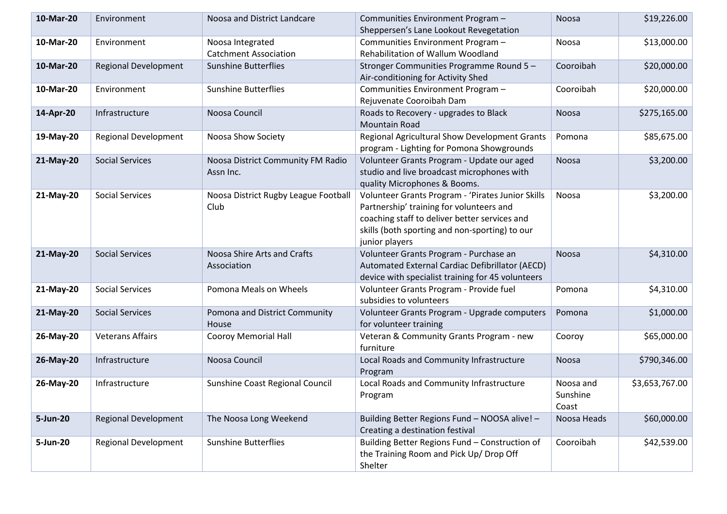| 10-Mar-20 | Environment                 | Noosa and District Landcare                      | Communities Environment Program -<br>Sheppersen's Lane Lookout Revegetation                                                                                                                                        | Noosa                          | \$19,226.00    |
|-----------|-----------------------------|--------------------------------------------------|--------------------------------------------------------------------------------------------------------------------------------------------------------------------------------------------------------------------|--------------------------------|----------------|
| 10-Mar-20 | Environment                 | Noosa Integrated<br><b>Catchment Association</b> | Communities Environment Program -<br>Rehabilitation of Wallum Woodland                                                                                                                                             | Noosa                          | \$13,000.00    |
| 10-Mar-20 | <b>Regional Development</b> | <b>Sunshine Butterflies</b>                      | Stronger Communities Programme Round 5 -<br>Air-conditioning for Activity Shed                                                                                                                                     | Cooroibah                      | \$20,000.00    |
| 10-Mar-20 | Environment                 | <b>Sunshine Butterflies</b>                      | Communities Environment Program -<br>Rejuvenate Cooroibah Dam                                                                                                                                                      | Cooroibah                      | \$20,000.00    |
| 14-Apr-20 | Infrastructure              | Noosa Council                                    | Roads to Recovery - upgrades to Black<br><b>Mountain Road</b>                                                                                                                                                      | Noosa                          | \$275,165.00   |
| 19-May-20 | <b>Regional Development</b> | Noosa Show Society                               | Regional Agricultural Show Development Grants<br>program - Lighting for Pomona Showgrounds                                                                                                                         | Pomona                         | \$85,675.00    |
| 21-May-20 | <b>Social Services</b>      | Noosa District Community FM Radio<br>Assn Inc.   | Volunteer Grants Program - Update our aged<br>studio and live broadcast microphones with<br>quality Microphones & Booms.                                                                                           | Noosa                          | \$3,200.00     |
| 21-May-20 | <b>Social Services</b>      | Noosa District Rugby League Football<br>Club     | Volunteer Grants Program - 'Pirates Junior Skills<br>Partnership' training for volunteers and<br>coaching staff to deliver better services and<br>skills (both sporting and non-sporting) to our<br>junior players | Noosa                          | \$3,200.00     |
| 21-May-20 | <b>Social Services</b>      | Noosa Shire Arts and Crafts<br>Association       | Volunteer Grants Program - Purchase an<br>Automated External Cardiac Defibrillator (AECD)<br>device with specialist training for 45 volunteers                                                                     | Noosa                          | \$4,310.00     |
| 21-May-20 | <b>Social Services</b>      | Pomona Meals on Wheels                           | Volunteer Grants Program - Provide fuel<br>subsidies to volunteers                                                                                                                                                 | Pomona                         | \$4,310.00     |
| 21-May-20 | <b>Social Services</b>      | Pomona and District Community<br>House           | Volunteer Grants Program - Upgrade computers<br>for volunteer training                                                                                                                                             | Pomona                         | \$1,000.00     |
| 26-May-20 | <b>Veterans Affairs</b>     | <b>Cooroy Memorial Hall</b>                      | Veteran & Community Grants Program - new<br>furniture                                                                                                                                                              | Cooroy                         | \$65,000.00    |
| 26-May-20 | Infrastructure              | Noosa Council                                    | Local Roads and Community Infrastructure<br>Program                                                                                                                                                                | Noosa                          | \$790,346.00   |
| 26-May-20 | Infrastructure              | Sunshine Coast Regional Council                  | Local Roads and Community Infrastructure<br>Program                                                                                                                                                                | Noosa and<br>Sunshine<br>Coast | \$3,653,767.00 |
| 5-Jun-20  | <b>Regional Development</b> | The Noosa Long Weekend                           | Building Better Regions Fund - NOOSA alive! -<br>Creating a destination festival                                                                                                                                   | Noosa Heads                    | \$60,000.00    |
| 5-Jun-20  | <b>Regional Development</b> | <b>Sunshine Butterflies</b>                      | Building Better Regions Fund - Construction of<br>the Training Room and Pick Up/ Drop Off<br>Shelter                                                                                                               | Cooroibah                      | \$42,539.00    |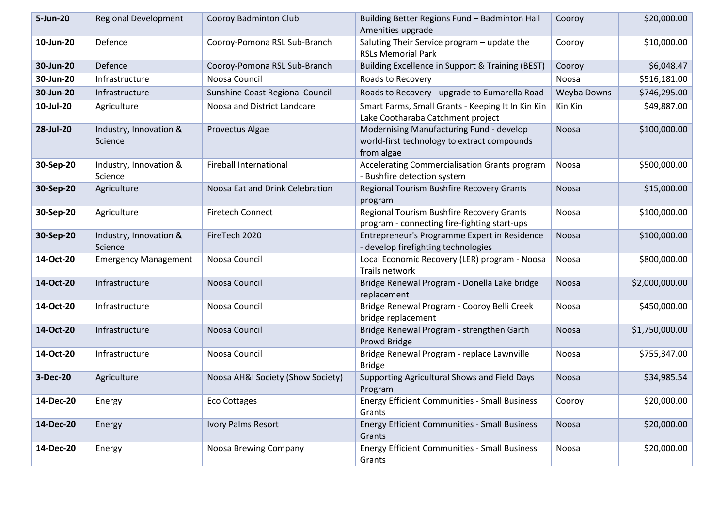| 5-Jun-20  | <b>Regional Development</b>       | Cooroy Badminton Club             | Building Better Regions Fund - Badminton Hall<br>Amenities upgrade                                    | Cooroy      | \$20,000.00    |
|-----------|-----------------------------------|-----------------------------------|-------------------------------------------------------------------------------------------------------|-------------|----------------|
| 10-Jun-20 | Defence                           | Cooroy-Pomona RSL Sub-Branch      | Saluting Their Service program - update the<br><b>RSLs Memorial Park</b>                              | Cooroy      | \$10,000.00    |
| 30-Jun-20 | Defence                           | Cooroy-Pomona RSL Sub-Branch      | Building Excellence in Support & Training (BEST)                                                      | Cooroy      | \$6,048.47     |
| 30-Jun-20 | Infrastructure                    | Noosa Council                     | Roads to Recovery                                                                                     | Noosa       | \$516,181.00   |
| 30-Jun-20 | Infrastructure                    | Sunshine Coast Regional Council   | Roads to Recovery - upgrade to Eumarella Road                                                         | Weyba Downs | \$746,295.00   |
| 10-Jul-20 | Agriculture                       | Noosa and District Landcare       | Smart Farms, Small Grants - Keeping It In Kin Kin<br>Lake Cootharaba Catchment project                | Kin Kin     | \$49,887.00    |
| 28-Jul-20 | Industry, Innovation &<br>Science | Provectus Algae                   | Modernising Manufacturing Fund - develop<br>world-first technology to extract compounds<br>from algae | Noosa       | \$100,000.00   |
| 30-Sep-20 | Industry, Innovation &<br>Science | <b>Fireball International</b>     | Accelerating Commercialisation Grants program<br>- Bushfire detection system                          | Noosa       | \$500,000.00   |
| 30-Sep-20 | Agriculture                       | Noosa Eat and Drink Celebration   | Regional Tourism Bushfire Recovery Grants<br>program                                                  | Noosa       | \$15,000.00    |
| 30-Sep-20 | Agriculture                       | <b>Firetech Connect</b>           | Regional Tourism Bushfire Recovery Grants<br>program - connecting fire-fighting start-ups             | Noosa       | \$100,000.00   |
| 30-Sep-20 | Industry, Innovation &<br>Science | FireTech 2020                     | Entrepreneur's Programme Expert in Residence<br>- develop firefighting technologies                   | Noosa       | \$100,000.00   |
| 14-Oct-20 | <b>Emergency Management</b>       | Noosa Council                     | Local Economic Recovery (LER) program - Noosa<br>Trails network                                       | Noosa       | \$800,000.00   |
| 14-Oct-20 | Infrastructure                    | Noosa Council                     | Bridge Renewal Program - Donella Lake bridge<br>replacement                                           | Noosa       | \$2,000,000.00 |
| 14-Oct-20 | Infrastructure                    | Noosa Council                     | Bridge Renewal Program - Cooroy Belli Creek<br>bridge replacement                                     | Noosa       | \$450,000.00   |
| 14-Oct-20 | Infrastructure                    | Noosa Council                     | Bridge Renewal Program - strengthen Garth<br>Prowd Bridge                                             | Noosa       | \$1,750,000.00 |
| 14-Oct-20 | Infrastructure                    | Noosa Council                     | Bridge Renewal Program - replace Lawnville<br><b>Bridge</b>                                           | Noosa       | \$755,347.00   |
| 3-Dec-20  | Agriculture                       | Noosa AH&I Society (Show Society) | Supporting Agricultural Shows and Field Days<br>Program                                               | Noosa       | \$34,985.54    |
| 14-Dec-20 | Energy                            | <b>Eco Cottages</b>               | <b>Energy Efficient Communities - Small Business</b><br>Grants                                        | Cooroy      | \$20,000.00    |
| 14-Dec-20 | Energy                            | Ivory Palms Resort                | <b>Energy Efficient Communities - Small Business</b><br>Grants                                        | Noosa       | \$20,000.00    |
| 14-Dec-20 | Energy                            | Noosa Brewing Company             | <b>Energy Efficient Communities - Small Business</b><br>Grants                                        | Noosa       | \$20,000.00    |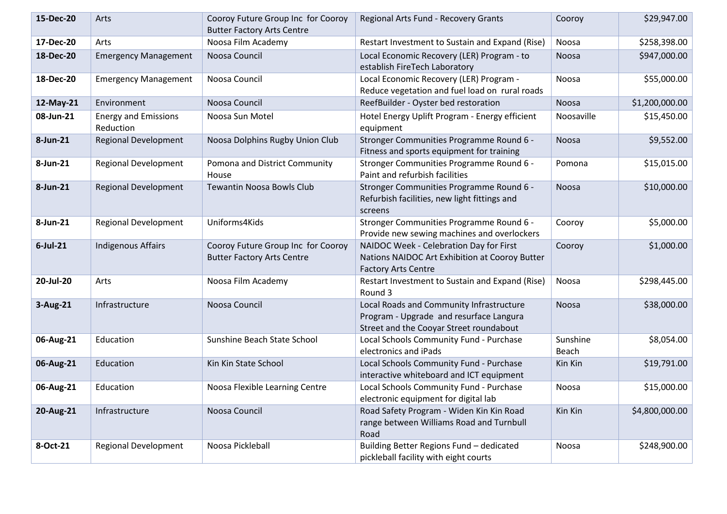| 15-Dec-20   | Arts                                     | Cooroy Future Group Inc for Cooroy<br><b>Butter Factory Arts Centre</b> | Regional Arts Fund - Recovery Grants                                                                                           | Cooroy            | \$29,947.00    |
|-------------|------------------------------------------|-------------------------------------------------------------------------|--------------------------------------------------------------------------------------------------------------------------------|-------------------|----------------|
| 17-Dec-20   | Arts                                     | Noosa Film Academy                                                      | Restart Investment to Sustain and Expand (Rise)                                                                                | Noosa             | \$258,398.00   |
| 18-Dec-20   | <b>Emergency Management</b>              | Noosa Council                                                           | Local Economic Recovery (LER) Program - to<br>establish FireTech Laboratory                                                    | Noosa             | \$947,000.00   |
| 18-Dec-20   | <b>Emergency Management</b>              | Noosa Council                                                           | Local Economic Recovery (LER) Program -<br>Reduce vegetation and fuel load on rural roads                                      | Noosa             | \$55,000.00    |
| 12-May-21   | Environment                              | Noosa Council                                                           | ReefBuilder - Oyster bed restoration                                                                                           | Noosa             | \$1,200,000.00 |
| 08-Jun-21   | <b>Energy and Emissions</b><br>Reduction | Noosa Sun Motel                                                         | Hotel Energy Uplift Program - Energy efficient<br>equipment                                                                    | Noosaville        | \$15,450.00    |
| 8-Jun-21    | <b>Regional Development</b>              | Noosa Dolphins Rugby Union Club                                         | Stronger Communities Programme Round 6 -<br>Fitness and sports equipment for training                                          | Noosa             | \$9,552.00     |
| 8-Jun-21    | Regional Development                     | Pomona and District Community<br>House                                  | Stronger Communities Programme Round 6 -<br>Paint and refurbish facilities                                                     | Pomona            | \$15,015.00    |
| 8-Jun-21    | <b>Regional Development</b>              | <b>Tewantin Noosa Bowls Club</b>                                        | Stronger Communities Programme Round 6 -<br>Refurbish facilities, new light fittings and<br>screens                            | <b>Noosa</b>      | \$10,000.00    |
| 8-Jun-21    | <b>Regional Development</b>              | Uniforms4Kids                                                           | Stronger Communities Programme Round 6 -<br>Provide new sewing machines and overlockers                                        | Cooroy            | \$5,000.00     |
| $6$ -Jul-21 | <b>Indigenous Affairs</b>                | Cooroy Future Group Inc for Cooroy<br><b>Butter Factory Arts Centre</b> | NAIDOC Week - Celebration Day for First<br>Nations NAIDOC Art Exhibition at Cooroy Butter<br><b>Factory Arts Centre</b>        | Cooroy            | \$1,000.00     |
| 20-Jul-20   | Arts                                     | Noosa Film Academy                                                      | Restart Investment to Sustain and Expand (Rise)<br>Round 3                                                                     | <b>Noosa</b>      | \$298,445.00   |
| 3-Aug-21    | Infrastructure                           | Noosa Council                                                           | Local Roads and Community Infrastructure<br>Program - Upgrade and resurface Langura<br>Street and the Cooyar Street roundabout | Noosa             | \$38,000.00    |
| 06-Aug-21   | Education                                | Sunshine Beach State School                                             | Local Schools Community Fund - Purchase<br>electronics and iPads                                                               | Sunshine<br>Beach | \$8,054.00     |
| 06-Aug-21   | Education                                | Kin Kin State School                                                    | Local Schools Community Fund - Purchase<br>interactive whiteboard and ICT equipment                                            | Kin Kin           | \$19,791.00    |
| 06-Aug-21   | Education                                | Noosa Flexible Learning Centre                                          | Local Schools Community Fund - Purchase<br>electronic equipment for digital lab                                                | Noosa             | \$15,000.00    |
| 20-Aug-21   | Infrastructure                           | Noosa Council                                                           | Road Safety Program - Widen Kin Kin Road<br>range between Williams Road and Turnbull<br>Road                                   | Kin Kin           | \$4,800,000.00 |
| 8-Oct-21    | <b>Regional Development</b>              | Noosa Pickleball                                                        | Building Better Regions Fund - dedicated<br>pickleball facility with eight courts                                              | Noosa             | \$248,900.00   |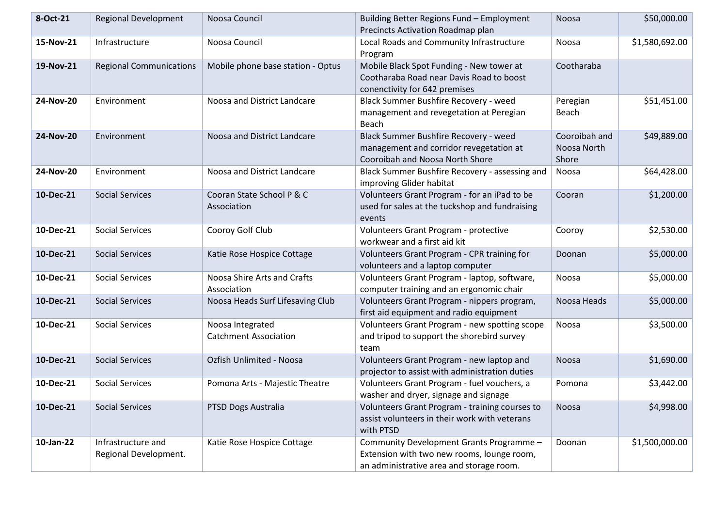| 8-Oct-21  | <b>Regional Development</b>                 | Noosa Council                                    | Building Better Regions Fund - Employment<br>Precincts Activation Roadmap plan                                                     | Noosa                                 | \$50,000.00    |
|-----------|---------------------------------------------|--------------------------------------------------|------------------------------------------------------------------------------------------------------------------------------------|---------------------------------------|----------------|
| 15-Nov-21 | Infrastructure                              | Noosa Council                                    | Local Roads and Community Infrastructure<br>Program                                                                                | Noosa                                 | \$1,580,692.00 |
| 19-Nov-21 | <b>Regional Communications</b>              | Mobile phone base station - Optus                | Mobile Black Spot Funding - New tower at<br>Cootharaba Road near Davis Road to boost<br>conenctivity for 642 premises              | Cootharaba                            |                |
| 24-Nov-20 | Environment                                 | Noosa and District Landcare                      | Black Summer Bushfire Recovery - weed<br>management and revegetation at Peregian<br>Beach                                          | Peregian<br>Beach                     | \$51,451.00    |
| 24-Nov-20 | Environment                                 | Noosa and District Landcare                      | Black Summer Bushfire Recovery - weed<br>management and corridor revegetation at<br>Cooroibah and Noosa North Shore                | Cooroibah and<br>Noosa North<br>Shore | \$49,889.00    |
| 24-Nov-20 | Environment                                 | Noosa and District Landcare                      | Black Summer Bushfire Recovery - assessing and<br>improving Glider habitat                                                         | Noosa                                 | \$64,428.00    |
| 10-Dec-21 | <b>Social Services</b>                      | Cooran State School P & C<br>Association         | Volunteers Grant Program - for an iPad to be<br>used for sales at the tuckshop and fundraising<br>events                           | Cooran                                | \$1,200.00     |
| 10-Dec-21 | <b>Social Services</b>                      | Cooroy Golf Club                                 | Volunteers Grant Program - protective<br>workwear and a first aid kit                                                              | Cooroy                                | \$2,530.00     |
| 10-Dec-21 | <b>Social Services</b>                      | Katie Rose Hospice Cottage                       | Volunteers Grant Program - CPR training for<br>volunteers and a laptop computer                                                    | Doonan                                | \$5,000.00     |
| 10-Dec-21 | <b>Social Services</b>                      | Noosa Shire Arts and Crafts<br>Association       | Volunteers Grant Program - laptop, software,<br>computer training and an ergonomic chair                                           | Noosa                                 | \$5,000.00     |
| 10-Dec-21 | <b>Social Services</b>                      | Noosa Heads Surf Lifesaving Club                 | Volunteers Grant Program - nippers program,<br>first aid equipment and radio equipment                                             | Noosa Heads                           | \$5,000.00     |
| 10-Dec-21 | <b>Social Services</b>                      | Noosa Integrated<br><b>Catchment Association</b> | Volunteers Grant Program - new spotting scope<br>and tripod to support the shorebird survey<br>team                                | Noosa                                 | \$3,500.00     |
| 10-Dec-21 | <b>Social Services</b>                      | Ozfish Unlimited - Noosa                         | Volunteers Grant Program - new laptop and<br>projector to assist with administration duties                                        | Noosa                                 | \$1,690.00     |
| 10-Dec-21 | <b>Social Services</b>                      | Pomona Arts - Majestic Theatre                   | Volunteers Grant Program - fuel vouchers, a<br>washer and dryer, signage and signage                                               | Pomona                                | \$3,442.00     |
| 10-Dec-21 | <b>Social Services</b>                      | PTSD Dogs Australia                              | Volunteers Grant Program - training courses to<br>assist volunteers in their work with veterans<br>with PTSD                       | Noosa                                 | \$4,998.00     |
| 10-Jan-22 | Infrastructure and<br>Regional Development. | Katie Rose Hospice Cottage                       | Community Development Grants Programme -<br>Extension with two new rooms, lounge room,<br>an administrative area and storage room. | Doonan                                | \$1,500,000.00 |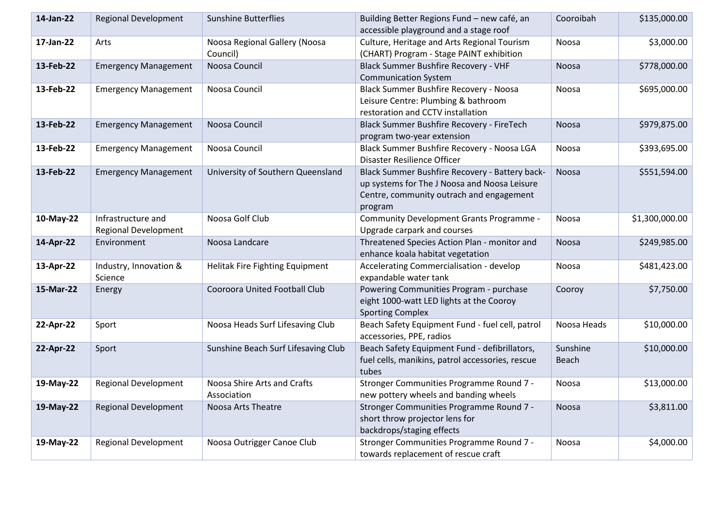| 14-Jan-22 | <b>Regional Development</b>                       | <b>Sunshine Butterflies</b>                | Building Better Regions Fund - new café, an<br>accessible playground and a stage roof                                                                 | Cooroibah         | \$135,000.00   |
|-----------|---------------------------------------------------|--------------------------------------------|-------------------------------------------------------------------------------------------------------------------------------------------------------|-------------------|----------------|
| 17-Jan-22 | Arts                                              | Noosa Regional Gallery (Noosa<br>Council)  | Culture, Heritage and Arts Regional Tourism<br>(CHART) Program - Stage PAINT exhibition                                                               | Noosa             | \$3,000.00     |
| 13-Feb-22 | <b>Emergency Management</b>                       | Noosa Council                              | Black Summer Bushfire Recovery - VHF<br><b>Communication System</b>                                                                                   | Noosa             | \$778,000.00   |
| 13-Feb-22 | <b>Emergency Management</b>                       | Noosa Council                              | <b>Black Summer Bushfire Recovery - Noosa</b><br>Leisure Centre: Plumbing & bathroom<br>restoration and CCTV installation                             | Noosa             | \$695,000.00   |
| 13-Feb-22 | <b>Emergency Management</b>                       | Noosa Council                              | Black Summer Bushfire Recovery - FireTech<br>program two-year extension                                                                               | <b>Noosa</b>      | \$979,875.00   |
| 13-Feb-22 | <b>Emergency Management</b>                       | Noosa Council                              | Black Summer Bushfire Recovery - Noosa LGA<br>Disaster Resilience Officer                                                                             | Noosa             | \$393,695.00   |
| 13-Feb-22 | <b>Emergency Management</b>                       | University of Southern Queensland          | Black Summer Bushfire Recovery - Battery back-<br>up systems for The J Noosa and Noosa Leisure<br>Centre, community outrach and engagement<br>program | Noosa             | \$551,594.00   |
| 10-May-22 | Infrastructure and<br><b>Regional Development</b> | Noosa Golf Club                            | Community Development Grants Programme -<br>Upgrade carpark and courses                                                                               | Noosa             | \$1,300,000.00 |
| 14-Apr-22 | Environment                                       | Noosa Landcare                             | Threatened Species Action Plan - monitor and<br>enhance koala habitat vegetation                                                                      | Noosa             | \$249,985.00   |
| 13-Apr-22 | Industry, Innovation &<br>Science                 | Helitak Fire Fighting Equipment            | Accelerating Commercialisation - develop<br>expandable water tank                                                                                     | Noosa             | \$481,423.00   |
| 15-Mar-22 | Energy                                            | Cooroora United Football Club              | Powering Communities Program - purchase<br>eight 1000-watt LED lights at the Cooroy<br><b>Sporting Complex</b>                                        | Cooroy            | \$7,750.00     |
| 22-Apr-22 | Sport                                             | Noosa Heads Surf Lifesaving Club           | Beach Safety Equipment Fund - fuel cell, patrol<br>accessories, PPE, radios                                                                           | Noosa Heads       | \$10,000.00    |
| 22-Apr-22 | Sport                                             | Sunshine Beach Surf Lifesaving Club        | Beach Safety Equipment Fund - defibrillators,<br>fuel cells, manikins, patrol accessories, rescue<br>tubes                                            | Sunshine<br>Beach | \$10,000.00    |
| 19-May-22 | <b>Regional Development</b>                       | Noosa Shire Arts and Crafts<br>Association | Stronger Communities Programme Round 7 -<br>new pottery wheels and banding wheels                                                                     | Noosa             | \$13,000.00    |
| 19-May-22 | <b>Regional Development</b>                       | Noosa Arts Theatre                         | Stronger Communities Programme Round 7 -<br>short throw projector lens for<br>backdrops/staging effects                                               | Noosa             | \$3,811.00     |
| 19-May-22 | <b>Regional Development</b>                       | Noosa Outrigger Canoe Club                 | Stronger Communities Programme Round 7 -<br>towards replacement of rescue craft                                                                       | Noosa             | \$4,000.00     |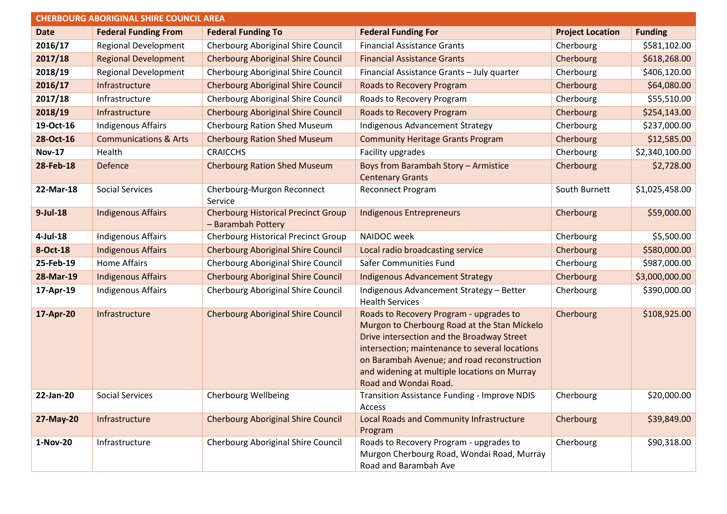| <b>CHERBOURG ABORIGINAL SHIRE COUNCIL AREA</b> |                                  |                                                                  |                                                                                                                                                                                                                                                                                                                 |                         |                |  |
|------------------------------------------------|----------------------------------|------------------------------------------------------------------|-----------------------------------------------------------------------------------------------------------------------------------------------------------------------------------------------------------------------------------------------------------------------------------------------------------------|-------------------------|----------------|--|
| <b>Date</b>                                    | <b>Federal Funding From</b>      | <b>Federal Funding To</b>                                        | <b>Federal Funding For</b>                                                                                                                                                                                                                                                                                      | <b>Project Location</b> | <b>Funding</b> |  |
| 2016/17                                        | <b>Regional Development</b>      | Cherbourg Aboriginal Shire Council                               | <b>Financial Assistance Grants</b>                                                                                                                                                                                                                                                                              | Cherbourg               | \$581,102.00   |  |
| 2017/18                                        | <b>Regional Development</b>      | <b>Cherbourg Aboriginal Shire Council</b>                        | <b>Financial Assistance Grants</b>                                                                                                                                                                                                                                                                              | Cherbourg               | \$618,268.00   |  |
| 2018/19                                        | <b>Regional Development</b>      | <b>Cherbourg Aboriginal Shire Council</b>                        | Financial Assistance Grants - July quarter                                                                                                                                                                                                                                                                      | Cherbourg               | \$406,120.00   |  |
| 2016/17                                        | Infrastructure                   | <b>Cherbourg Aboriginal Shire Council</b>                        | Roads to Recovery Program                                                                                                                                                                                                                                                                                       | Cherbourg               | \$64,080.00    |  |
| 2017/18                                        | Infrastructure                   | <b>Cherbourg Aboriginal Shire Council</b>                        | Roads to Recovery Program                                                                                                                                                                                                                                                                                       | Cherbourg               | \$55,510.00    |  |
| 2018/19                                        | Infrastructure                   | <b>Cherbourg Aboriginal Shire Council</b>                        | <b>Roads to Recovery Program</b>                                                                                                                                                                                                                                                                                | Cherbourg               | \$254,143.00   |  |
| 19-Oct-16                                      | Indigenous Affairs               | <b>Cherbourg Ration Shed Museum</b>                              | Indigenous Advancement Strategy                                                                                                                                                                                                                                                                                 | Cherbourg               | \$237,000.00   |  |
| 28-Oct-16                                      | <b>Communications &amp; Arts</b> | <b>Cherbourg Ration Shed Museum</b>                              | <b>Community Heritage Grants Program</b>                                                                                                                                                                                                                                                                        | Cherbourg               | \$12,585.00    |  |
| <b>Nov-17</b>                                  | Health                           | <b>CRAICCHS</b>                                                  | Facility upgrades                                                                                                                                                                                                                                                                                               | Cherbourg               | \$2,340,100.00 |  |
| 28-Feb-18                                      | Defence                          | <b>Cherbourg Ration Shed Museum</b>                              | Boys from Barambah Story - Armistice<br><b>Centenary Grants</b>                                                                                                                                                                                                                                                 | Cherbourg               | \$2,728.00     |  |
| 22-Mar-18                                      | <b>Social Services</b>           | Cherbourg-Murgon Reconnect<br>Service                            | <b>Reconnect Program</b>                                                                                                                                                                                                                                                                                        | South Burnett           | \$1,025,458.00 |  |
| $9$ -Jul-18                                    | <b>Indigenous Affairs</b>        | <b>Cherbourg Historical Precinct Group</b><br>- Barambah Pottery | <b>Indigenous Entrepreneurs</b>                                                                                                                                                                                                                                                                                 | Cherbourg               | \$59,000.00    |  |
| $4$ -Jul-18                                    | <b>Indigenous Affairs</b>        | <b>Cherbourg Historical Precinct Group</b>                       | NAIDOC week                                                                                                                                                                                                                                                                                                     | Cherbourg               | \$5,500.00     |  |
| 8-Oct-18                                       | <b>Indigenous Affairs</b>        | <b>Cherbourg Aboriginal Shire Council</b>                        | Local radio broadcasting service                                                                                                                                                                                                                                                                                | Cherbourg               | \$580,000.00   |  |
| 25-Feb-19                                      | <b>Home Affairs</b>              | Cherbourg Aboriginal Shire Council                               | Safer Communities Fund                                                                                                                                                                                                                                                                                          | Cherbourg               | \$987,000.00   |  |
| 28-Mar-19                                      | <b>Indigenous Affairs</b>        | <b>Cherbourg Aboriginal Shire Council</b>                        | <b>Indigenous Advancement Strategy</b>                                                                                                                                                                                                                                                                          | Cherbourg               | \$3,000,000.00 |  |
| 17-Apr-19                                      | Indigenous Affairs               | <b>Cherbourg Aboriginal Shire Council</b>                        | Indigenous Advancement Strategy - Better<br><b>Health Services</b>                                                                                                                                                                                                                                              | Cherbourg               | \$390,000.00   |  |
| 17-Apr-20                                      | Infrastructure                   | <b>Cherbourg Aboriginal Shire Council</b>                        | Roads to Recovery Program - upgrades to<br>Murgon to Cherbourg Road at the Stan Mickelo<br>Drive intersection and the Broadway Street<br>intersection; maintenance to several locations<br>on Barambah Avenue; and road reconstruction<br>and widening at multiple locations on Murray<br>Road and Wondai Road. | Cherbourg               | \$108,925.00   |  |
| 22-Jan-20                                      | <b>Social Services</b>           | <b>Cherbourg Wellbeing</b>                                       | Transition Assistance Funding - Improve NDIS<br>Access                                                                                                                                                                                                                                                          | Cherbourg               | \$20,000.00    |  |
| 27-May-20                                      | Infrastructure                   | <b>Cherbourg Aboriginal Shire Council</b>                        | Local Roads and Community Infrastructure<br>Program                                                                                                                                                                                                                                                             | Cherbourg               | \$39,849.00    |  |
| 1-Nov-20                                       | Infrastructure                   | <b>Cherbourg Aboriginal Shire Council</b>                        | Roads to Recovery Program - upgrades to<br>Murgon Cherbourg Road, Wondai Road, Murray<br>Road and Barambah Ave                                                                                                                                                                                                  | Cherbourg               | \$90,318.00    |  |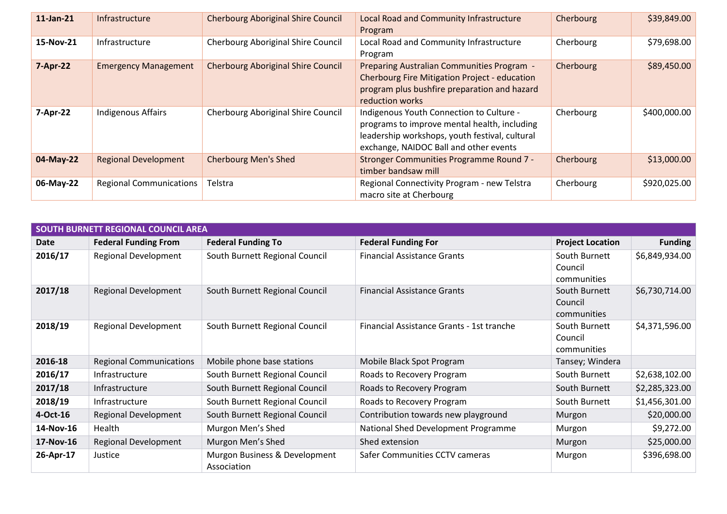| 11-Jan-21 | Infrastructure                 | <b>Cherbourg Aboriginal Shire Council</b> | Local Road and Community Infrastructure<br>Program                                                                                                                                   | Cherbourg | \$39,849.00  |
|-----------|--------------------------------|-------------------------------------------|--------------------------------------------------------------------------------------------------------------------------------------------------------------------------------------|-----------|--------------|
| 15-Nov-21 | Infrastructure                 | Cherbourg Aboriginal Shire Council        | Local Road and Community Infrastructure<br>Program                                                                                                                                   | Cherbourg | \$79,698.00  |
| 7-Apr-22  | <b>Emergency Management</b>    | <b>Cherbourg Aboriginal Shire Council</b> | <b>Preparing Australian Communities Program -</b><br>Cherbourg Fire Mitigation Project - education<br>program plus bushfire preparation and hazard<br>reduction works                | Cherbourg | \$89,450.00  |
| 7-Apr-22  | Indigenous Affairs             | Cherbourg Aboriginal Shire Council        | Indigenous Youth Connection to Culture -<br>programs to improve mental health, including<br>leadership workshops, youth festival, cultural<br>exchange, NAIDOC Ball and other events | Cherbourg | \$400,000.00 |
| 04-May-22 | <b>Regional Development</b>    | <b>Cherbourg Men's Shed</b>               | Stronger Communities Programme Round 7 -<br>timber bandsaw mill                                                                                                                      | Cherbourg | \$13,000.00  |
| 06-May-22 | <b>Regional Communications</b> | Telstra                                   | Regional Connectivity Program - new Telstra<br>macro site at Cherbourg                                                                                                               | Cherbourg | \$920,025.00 |

|           | SOUTH BURNETT REGIONAL COUNCIL AREA |                                              |                                           |                                         |                |  |  |
|-----------|-------------------------------------|----------------------------------------------|-------------------------------------------|-----------------------------------------|----------------|--|--|
| Date      | <b>Federal Funding From</b>         | <b>Federal Funding To</b>                    | <b>Federal Funding For</b>                | <b>Project Location</b>                 | <b>Funding</b> |  |  |
| 2016/17   | <b>Regional Development</b>         | South Burnett Regional Council               | <b>Financial Assistance Grants</b>        | South Burnett<br>Council<br>communities | \$6,849,934.00 |  |  |
| 2017/18   | <b>Regional Development</b>         | South Burnett Regional Council               | <b>Financial Assistance Grants</b>        | South Burnett<br>Council<br>communities | \$6,730,714.00 |  |  |
| 2018/19   | <b>Regional Development</b>         | South Burnett Regional Council               | Financial Assistance Grants - 1st tranche | South Burnett<br>Council<br>communities | \$4,371,596.00 |  |  |
| 2016-18   | <b>Regional Communications</b>      | Mobile phone base stations                   | Mobile Black Spot Program                 | Tansey; Windera                         |                |  |  |
| 2016/17   | Infrastructure                      | South Burnett Regional Council               | Roads to Recovery Program                 | South Burnett                           | \$2,638,102.00 |  |  |
| 2017/18   | Infrastructure                      | South Burnett Regional Council               | Roads to Recovery Program                 | South Burnett                           | \$2,285,323.00 |  |  |
| 2018/19   | Infrastructure                      | South Burnett Regional Council               | Roads to Recovery Program                 | South Burnett                           | \$1,456,301.00 |  |  |
| 4-Oct-16  | <b>Regional Development</b>         | South Burnett Regional Council               | Contribution towards new playground       | Murgon                                  | \$20,000.00    |  |  |
| 14-Nov-16 | Health                              | Murgon Men's Shed                            | National Shed Development Programme       | Murgon                                  | \$9,272.00     |  |  |
| 17-Nov-16 | <b>Regional Development</b>         | Murgon Men's Shed                            | Shed extension                            | Murgon                                  | \$25,000.00    |  |  |
| 26-Apr-17 | Justice                             | Murgon Business & Development<br>Association | Safer Communities CCTV cameras            | Murgon                                  | \$396,698.00   |  |  |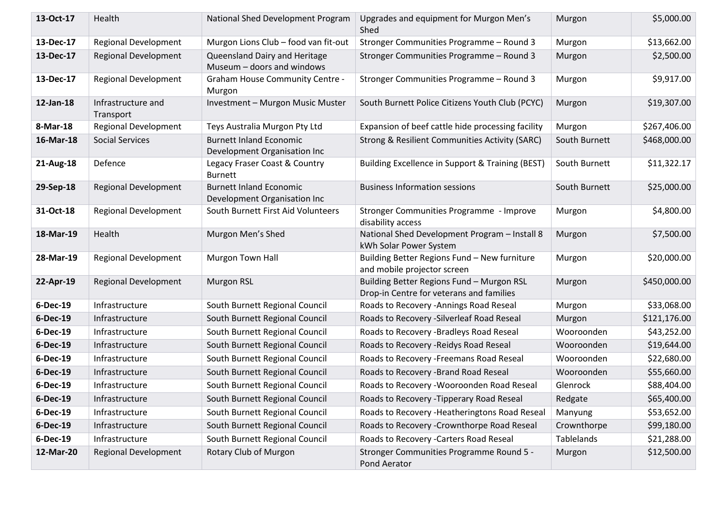| 13-Oct-17 | Health                          | National Shed Development Program                              | Upgrades and equipment for Murgon Men's<br>Shed                                       | Murgon        | \$5,000.00   |
|-----------|---------------------------------|----------------------------------------------------------------|---------------------------------------------------------------------------------------|---------------|--------------|
| 13-Dec-17 | <b>Regional Development</b>     | Murgon Lions Club - food van fit-out                           | Stronger Communities Programme - Round 3                                              | Murgon        | \$13,662.00  |
| 13-Dec-17 | <b>Regional Development</b>     | Queensland Dairy and Heritage<br>Museum - doors and windows    | Stronger Communities Programme - Round 3                                              | Murgon        | \$2,500.00   |
| 13-Dec-17 | <b>Regional Development</b>     | <b>Graham House Community Centre -</b><br>Murgon               | Stronger Communities Programme - Round 3                                              | Murgon        | \$9,917.00   |
| 12-Jan-18 | Infrastructure and<br>Transport | Investment - Murgon Music Muster                               | South Burnett Police Citizens Youth Club (PCYC)                                       | Murgon        | \$19,307.00  |
| 8-Mar-18  | <b>Regional Development</b>     | Teys Australia Murgon Pty Ltd                                  | Expansion of beef cattle hide processing facility                                     | Murgon        | \$267,406.00 |
| 16-Mar-18 | <b>Social Services</b>          | <b>Burnett Inland Economic</b><br>Development Organisation Inc | <b>Strong &amp; Resilient Communities Activity (SARC)</b>                             | South Burnett | \$468,000.00 |
| 21-Aug-18 | Defence                         | Legacy Fraser Coast & Country<br><b>Burnett</b>                | Building Excellence in Support & Training (BEST)                                      | South Burnett | \$11,322.17  |
| 29-Sep-18 | <b>Regional Development</b>     | <b>Burnett Inland Economic</b><br>Development Organisation Inc | <b>Business Information sessions</b>                                                  | South Burnett | \$25,000.00  |
| 31-Oct-18 | <b>Regional Development</b>     | South Burnett First Aid Volunteers                             | Stronger Communities Programme - Improve<br>disability access                         | Murgon        | \$4,800.00   |
| 18-Mar-19 | Health                          | Murgon Men's Shed                                              | National Shed Development Program - Install 8<br>kWh Solar Power System               | Murgon        | \$7,500.00   |
| 28-Mar-19 | Regional Development            | Murgon Town Hall                                               | Building Better Regions Fund - New furniture<br>and mobile projector screen           | Murgon        | \$20,000.00  |
| 22-Apr-19 | <b>Regional Development</b>     | <b>Murgon RSL</b>                                              | Building Better Regions Fund - Murgon RSL<br>Drop-in Centre for veterans and families | Murgon        | \$450,000.00 |
| 6-Dec-19  | Infrastructure                  | South Burnett Regional Council                                 | Roads to Recovery - Annings Road Reseal                                               | Murgon        | \$33,068.00  |
| 6-Dec-19  | Infrastructure                  | South Burnett Regional Council                                 | Roads to Recovery - Silverleaf Road Reseal                                            | Murgon        | \$121,176.00 |
| 6-Dec-19  | Infrastructure                  | South Burnett Regional Council                                 | Roads to Recovery -Bradleys Road Reseal                                               | Wooroonden    | \$43,252.00  |
| 6-Dec-19  | Infrastructure                  | South Burnett Regional Council                                 | Roads to Recovery - Reidys Road Reseal                                                | Wooroonden    | \$19,644.00  |
| 6-Dec-19  | Infrastructure                  | South Burnett Regional Council                                 | Roads to Recovery - Freemans Road Reseal                                              | Wooroonden    | \$22,680.00  |
| 6-Dec-19  | Infrastructure                  | South Burnett Regional Council                                 | Roads to Recovery -Brand Road Reseal                                                  | Wooroonden    | \$55,660.00  |
| 6-Dec-19  | Infrastructure                  | South Burnett Regional Council                                 | Roads to Recovery - Wooroonden Road Reseal                                            | Glenrock      | \$88,404.00  |
| 6-Dec-19  | Infrastructure                  | South Burnett Regional Council                                 | Roads to Recovery - Tipperary Road Reseal                                             | Redgate       | \$65,400.00  |
| 6-Dec-19  | Infrastructure                  | South Burnett Regional Council                                 | Roads to Recovery - Heatheringtons Road Reseal                                        | Manyung       | \$53,652.00  |
| 6-Dec-19  | Infrastructure                  | South Burnett Regional Council                                 | Roads to Recovery - Crownthorpe Road Reseal                                           | Crownthorpe   | \$99,180.00  |
| 6-Dec-19  | Infrastructure                  | South Burnett Regional Council                                 | Roads to Recovery - Carters Road Reseal                                               | Tablelands    | \$21,288.00  |
| 12-Mar-20 | <b>Regional Development</b>     | Rotary Club of Murgon                                          | Stronger Communities Programme Round 5 -<br>Pond Aerator                              | Murgon        | \$12,500.00  |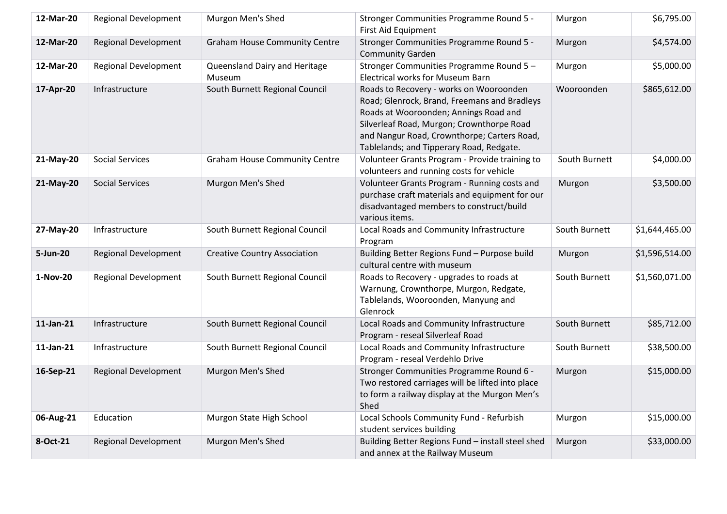| 12-Mar-20 | <b>Regional Development</b> | Murgon Men's Shed                       | Stronger Communities Programme Round 5 -<br>First Aid Equipment                                                                                                                                                                                                          | Murgon        | \$6,795.00     |
|-----------|-----------------------------|-----------------------------------------|--------------------------------------------------------------------------------------------------------------------------------------------------------------------------------------------------------------------------------------------------------------------------|---------------|----------------|
| 12-Mar-20 | <b>Regional Development</b> | <b>Graham House Community Centre</b>    | Stronger Communities Programme Round 5 -<br><b>Community Garden</b>                                                                                                                                                                                                      | Murgon        | \$4,574.00     |
| 12-Mar-20 | <b>Regional Development</b> | Queensland Dairy and Heritage<br>Museum | Stronger Communities Programme Round 5 -<br><b>Electrical works for Museum Barn</b>                                                                                                                                                                                      | Murgon        | \$5,000.00     |
| 17-Apr-20 | Infrastructure              | South Burnett Regional Council          | Roads to Recovery - works on Wooroonden<br>Road; Glenrock, Brand, Freemans and Bradleys<br>Roads at Wooroonden; Annings Road and<br>Silverleaf Road, Murgon; Crownthorpe Road<br>and Nangur Road, Crownthorpe; Carters Road,<br>Tablelands; and Tipperary Road, Redgate. | Wooroonden    | \$865,612.00   |
| 21-May-20 | <b>Social Services</b>      | <b>Graham House Community Centre</b>    | Volunteer Grants Program - Provide training to<br>volunteers and running costs for vehicle                                                                                                                                                                               | South Burnett | \$4,000.00     |
| 21-May-20 | <b>Social Services</b>      | Murgon Men's Shed                       | Volunteer Grants Program - Running costs and<br>purchase craft materials and equipment for our<br>disadvantaged members to construct/build<br>various items.                                                                                                             | Murgon        | \$3,500.00     |
| 27-May-20 | Infrastructure              | South Burnett Regional Council          | Local Roads and Community Infrastructure<br>Program                                                                                                                                                                                                                      | South Burnett | \$1,644,465.00 |
| 5-Jun-20  | <b>Regional Development</b> | <b>Creative Country Association</b>     | Building Better Regions Fund - Purpose build<br>cultural centre with museum                                                                                                                                                                                              | Murgon        | \$1,596,514.00 |
| 1-Nov-20  | <b>Regional Development</b> | South Burnett Regional Council          | Roads to Recovery - upgrades to roads at<br>Warnung, Crownthorpe, Murgon, Redgate,<br>Tablelands, Wooroonden, Manyung and<br>Glenrock                                                                                                                                    | South Burnett | \$1,560,071.00 |
| 11-Jan-21 | Infrastructure              | South Burnett Regional Council          | Local Roads and Community Infrastructure<br>Program - reseal Silverleaf Road                                                                                                                                                                                             | South Burnett | \$85,712.00    |
| 11-Jan-21 | Infrastructure              | South Burnett Regional Council          | Local Roads and Community Infrastructure<br>Program - reseal Verdehlo Drive                                                                                                                                                                                              | South Burnett | \$38,500.00    |
| 16-Sep-21 | <b>Regional Development</b> | Murgon Men's Shed                       | Stronger Communities Programme Round 6 -<br>Two restored carriages will be lifted into place<br>to form a railway display at the Murgon Men's<br>Shed                                                                                                                    | Murgon        | \$15,000.00    |
| 06-Aug-21 | Education                   | Murgon State High School                | Local Schools Community Fund - Refurbish<br>student services building                                                                                                                                                                                                    | Murgon        | \$15,000.00    |
| 8-Oct-21  | Regional Development        | Murgon Men's Shed                       | Building Better Regions Fund - install steel shed<br>and annex at the Railway Museum                                                                                                                                                                                     | Murgon        | \$33,000.00    |